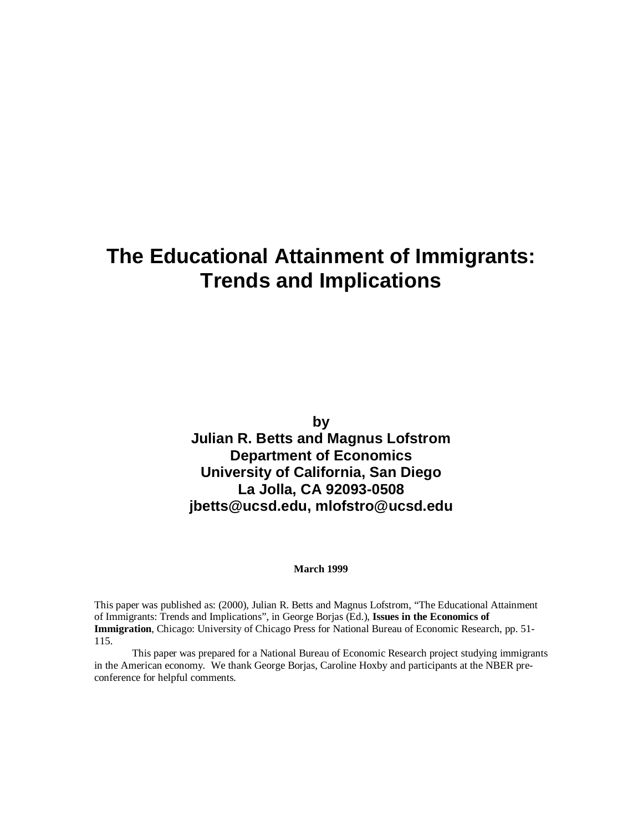## **The Educational Attainment of Immigrants: Trends and Implications**

**by**

**Julian R. Betts and Magnus Lofstrom Department of Economics University of California, San Diego La Jolla, CA 92093-0508 jbetts@ucsd.edu, mlofstro@ucsd.edu**

#### **March 1999**

This paper was published as: (2000), Julian R. Betts and Magnus Lofstrom, "The Educational Attainment of Immigrants: Trends and Implications", in George Borjas (Ed.), **Issues in the Economics of Immigration**, Chicago: University of Chicago Press for National Bureau of Economic Research, pp. 51- 115.

This paper was prepared for a National Bureau of Economic Research project studying immigrants in the American economy. We thank George Borjas, Caroline Hoxby and participants at the NBER preconference for helpful comments.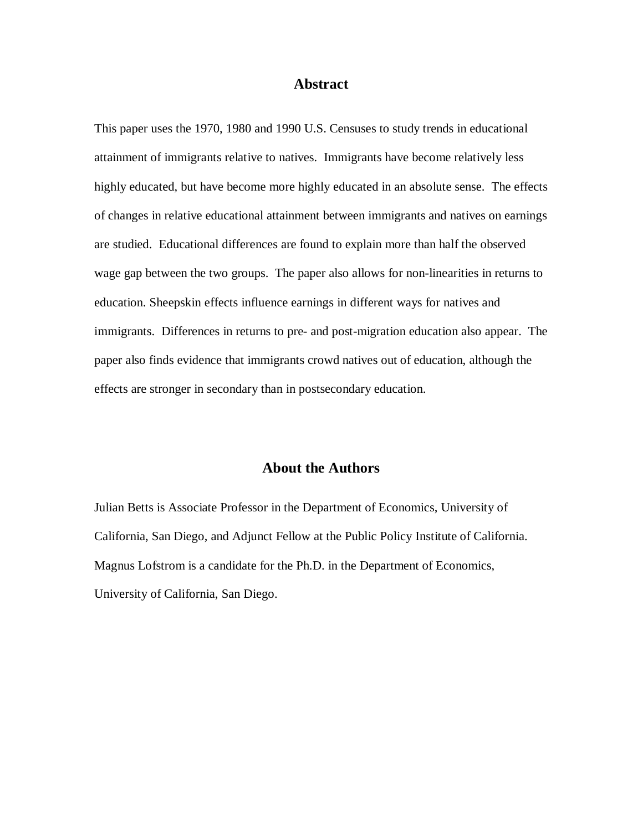### **Abstract**

This paper uses the 1970, 1980 and 1990 U.S. Censuses to study trends in educational attainment of immigrants relative to natives. Immigrants have become relatively less highly educated, but have become more highly educated in an absolute sense. The effects of changes in relative educational attainment between immigrants and natives on earnings are studied. Educational differences are found to explain more than half the observed wage gap between the two groups. The paper also allows for non-linearities in returns to education. Sheepskin effects influence earnings in different ways for natives and immigrants. Differences in returns to pre- and post-migration education also appear. The paper also finds evidence that immigrants crowd natives out of education, although the effects are stronger in secondary than in postsecondary education.

### **About the Authors**

Julian Betts is Associate Professor in the Department of Economics, University of California, San Diego, and Adjunct Fellow at the Public Policy Institute of California. Magnus Lofstrom is a candidate for the Ph.D. in the Department of Economics, University of California, San Diego.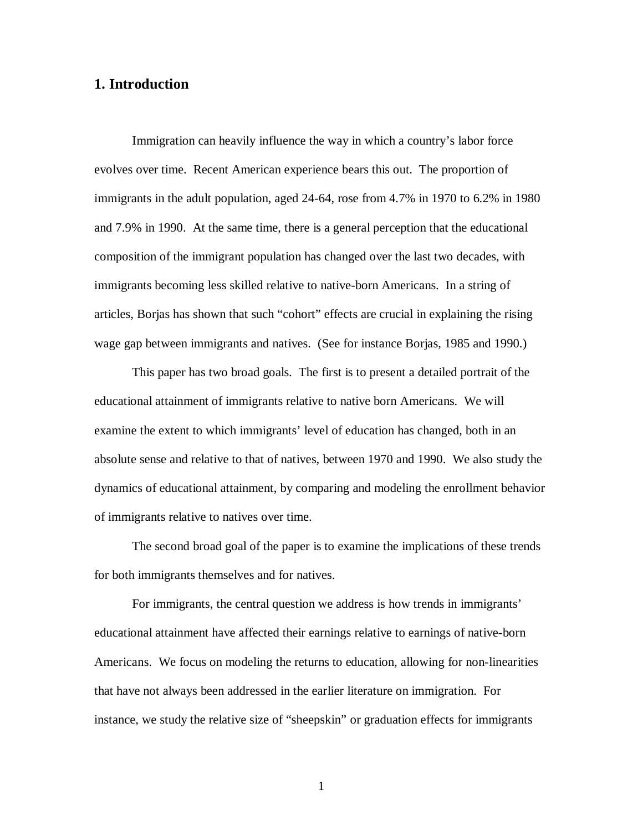## **1. Introduction**

Immigration can heavily influence the way in which a country's labor force evolves over time. Recent American experience bears this out. The proportion of immigrants in the adult population, aged 24-64, rose from 4.7% in 1970 to 6.2% in 1980 and 7.9% in 1990. At the same time, there is a general perception that the educational composition of the immigrant population has changed over the last two decades, with immigrants becoming less skilled relative to native-born Americans. In a string of articles, Borjas has shown that such "cohort" effects are crucial in explaining the rising wage gap between immigrants and natives. (See for instance Borjas, 1985 and 1990.)

This paper has two broad goals. The first is to present a detailed portrait of the educational attainment of immigrants relative to native born Americans. We will examine the extent to which immigrants' level of education has changed, both in an absolute sense and relative to that of natives, between 1970 and 1990. We also study the dynamics of educational attainment, by comparing and modeling the enrollment behavior of immigrants relative to natives over time.

The second broad goal of the paper is to examine the implications of these trends for both immigrants themselves and for natives.

For immigrants, the central question we address is how trends in immigrants' educational attainment have affected their earnings relative to earnings of native-born Americans. We focus on modeling the returns to education, allowing for non-linearities that have not always been addressed in the earlier literature on immigration. For instance, we study the relative size of "sheepskin" or graduation effects for immigrants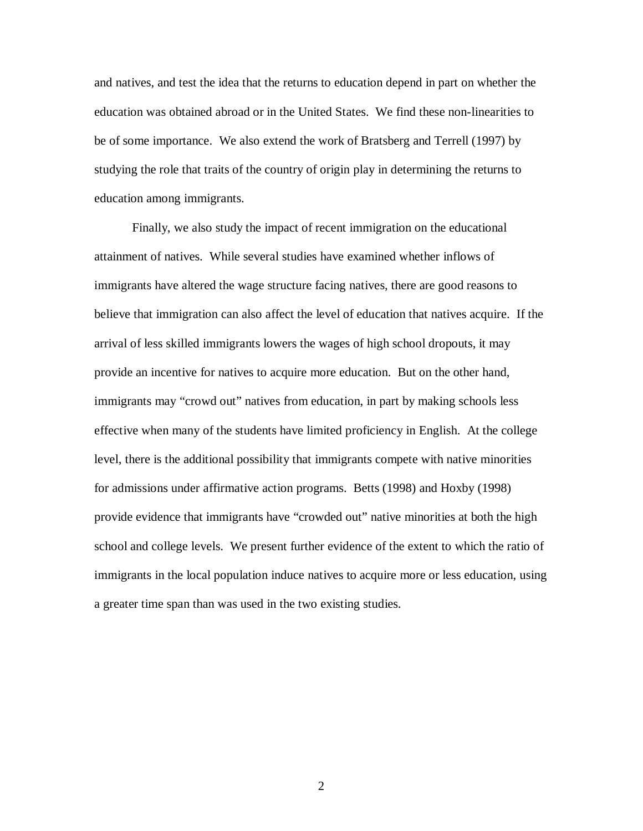and natives, and test the idea that the returns to education depend in part on whether the education was obtained abroad or in the United States. We find these non-linearities to be of some importance. We also extend the work of Bratsberg and Terrell (1997) by studying the role that traits of the country of origin play in determining the returns to education among immigrants.

Finally, we also study the impact of recent immigration on the educational attainment of natives. While several studies have examined whether inflows of immigrants have altered the wage structure facing natives, there are good reasons to believe that immigration can also affect the level of education that natives acquire. If the arrival of less skilled immigrants lowers the wages of high school dropouts, it may provide an incentive for natives to acquire more education. But on the other hand, immigrants may "crowd out" natives from education, in part by making schools less effective when many of the students have limited proficiency in English. At the college level, there is the additional possibility that immigrants compete with native minorities for admissions under affirmative action programs. Betts (1998) and Hoxby (1998) provide evidence that immigrants have "crowded out" native minorities at both the high school and college levels. We present further evidence of the extent to which the ratio of immigrants in the local population induce natives to acquire more or less education, using a greater time span than was used in the two existing studies.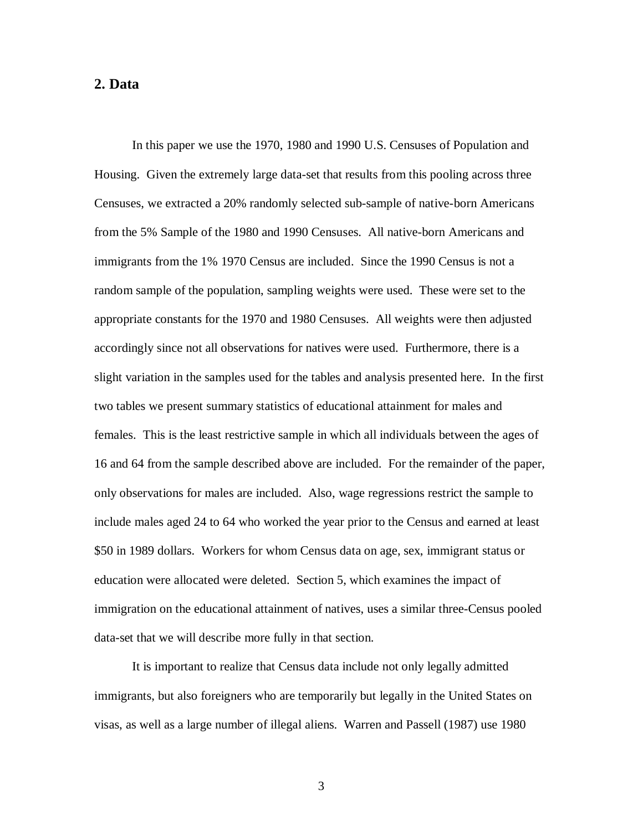### **2. Data**

In this paper we use the 1970, 1980 and 1990 U.S. Censuses of Population and Housing. Given the extremely large data-set that results from this pooling across three Censuses, we extracted a 20% randomly selected sub-sample of native-born Americans from the 5% Sample of the 1980 and 1990 Censuses. All native-born Americans and immigrants from the 1% 1970 Census are included. Since the 1990 Census is not a random sample of the population, sampling weights were used. These were set to the appropriate constants for the 1970 and 1980 Censuses. All weights were then adjusted accordingly since not all observations for natives were used. Furthermore, there is a slight variation in the samples used for the tables and analysis presented here. In the first two tables we present summary statistics of educational attainment for males and females. This is the least restrictive sample in which all individuals between the ages of 16 and 64 from the sample described above are included. For the remainder of the paper, only observations for males are included. Also, wage regressions restrict the sample to include males aged 24 to 64 who worked the year prior to the Census and earned at least \$50 in 1989 dollars. Workers for whom Census data on age, sex, immigrant status or education were allocated were deleted. Section 5, which examines the impact of immigration on the educational attainment of natives, uses a similar three-Census pooled data-set that we will describe more fully in that section.

It is important to realize that Census data include not only legally admitted immigrants, but also foreigners who are temporarily but legally in the United States on visas, as well as a large number of illegal aliens. Warren and Passell (1987) use 1980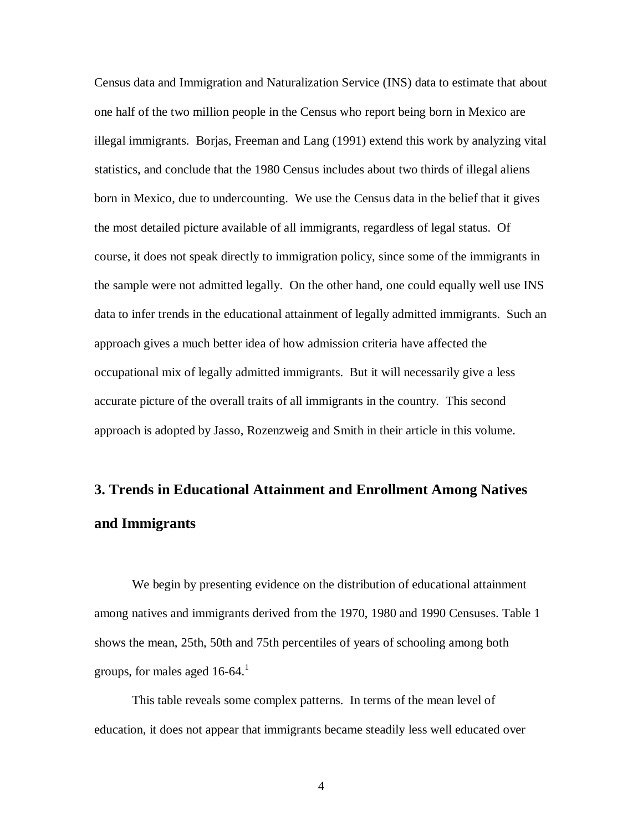Census data and Immigration and Naturalization Service (INS) data to estimate that about one half of the two million people in the Census who report being born in Mexico are illegal immigrants. Borjas, Freeman and Lang (1991) extend this work by analyzing vital statistics, and conclude that the 1980 Census includes about two thirds of illegal aliens born in Mexico, due to undercounting. We use the Census data in the belief that it gives the most detailed picture available of all immigrants, regardless of legal status. Of course, it does not speak directly to immigration policy, since some of the immigrants in the sample were not admitted legally. On the other hand, one could equally well use INS data to infer trends in the educational attainment of legally admitted immigrants. Such an approach gives a much better idea of how admission criteria have affected the occupational mix of legally admitted immigrants. But it will necessarily give a less accurate picture of the overall traits of all immigrants in the country. This second approach is adopted by Jasso, Rozenzweig and Smith in their article in this volume.

## **3. Trends in Educational Attainment and Enrollment Among Natives and Immigrants**

We begin by presenting evidence on the distribution of educational attainment among natives and immigrants derived from the 1970, 1980 and 1990 Censuses. Table 1 shows the mean, 25th, 50th and 75th percentiles of years of schooling among both groups, for males aged  $16-64$ <sup>1</sup>

This table reveals some complex patterns. In terms of the mean level of education, it does not appear that immigrants became steadily less well educated over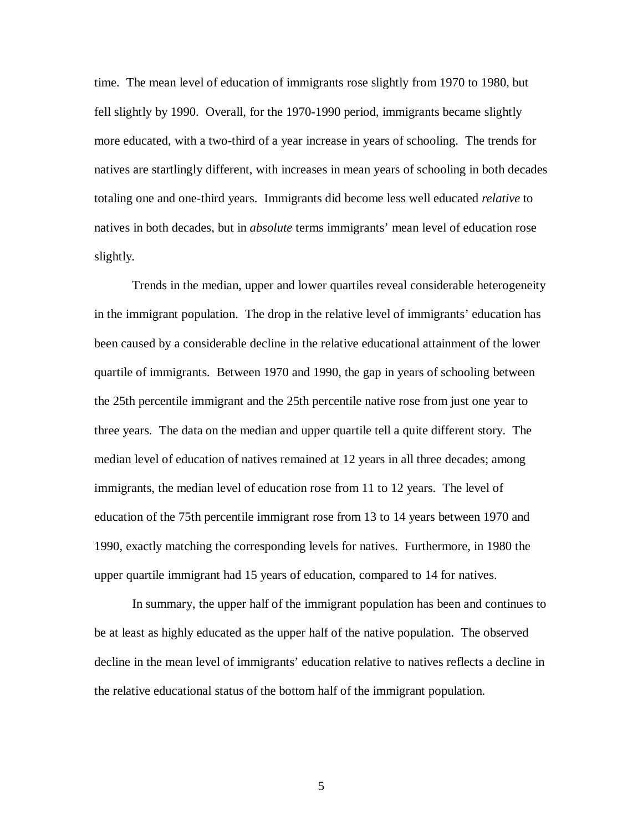time. The mean level of education of immigrants rose slightly from 1970 to 1980, but fell slightly by 1990. Overall, for the 1970-1990 period, immigrants became slightly more educated, with a two-third of a year increase in years of schooling. The trends for natives are startlingly different, with increases in mean years of schooling in both decades totaling one and one-third years. Immigrants did become less well educated *relative* to natives in both decades, but in *absolute* terms immigrants' mean level of education rose slightly.

Trends in the median, upper and lower quartiles reveal considerable heterogeneity in the immigrant population. The drop in the relative level of immigrants' education has been caused by a considerable decline in the relative educational attainment of the lower quartile of immigrants. Between 1970 and 1990, the gap in years of schooling between the 25th percentile immigrant and the 25th percentile native rose from just one year to three years. The data on the median and upper quartile tell a quite different story. The median level of education of natives remained at 12 years in all three decades; among immigrants, the median level of education rose from 11 to 12 years. The level of education of the 75th percentile immigrant rose from 13 to 14 years between 1970 and 1990, exactly matching the corresponding levels for natives. Furthermore, in 1980 the upper quartile immigrant had 15 years of education, compared to 14 for natives.

In summary, the upper half of the immigrant population has been and continues to be at least as highly educated as the upper half of the native population. The observed decline in the mean level of immigrants' education relative to natives reflects a decline in the relative educational status of the bottom half of the immigrant population.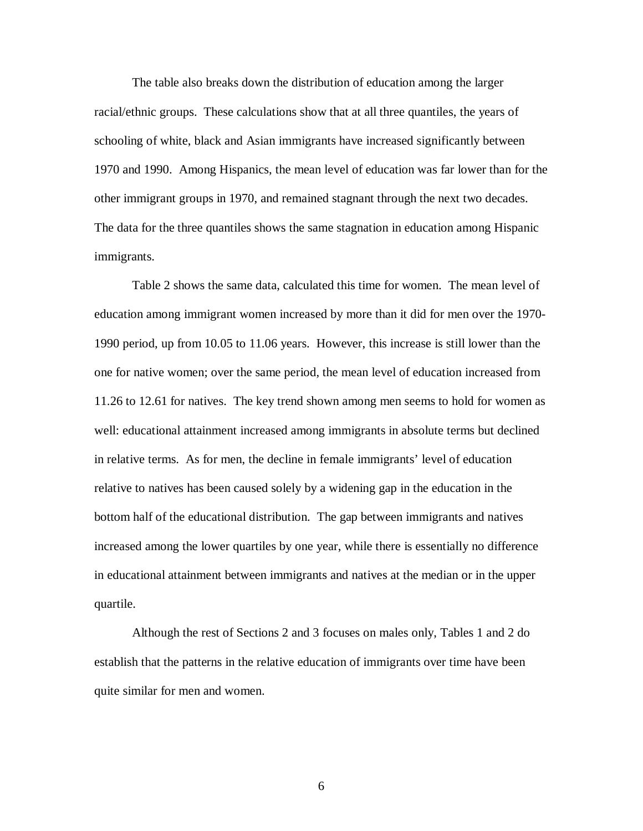The table also breaks down the distribution of education among the larger racial/ethnic groups. These calculations show that at all three quantiles, the years of schooling of white, black and Asian immigrants have increased significantly between 1970 and 1990. Among Hispanics, the mean level of education was far lower than for the other immigrant groups in 1970, and remained stagnant through the next two decades. The data for the three quantiles shows the same stagnation in education among Hispanic immigrants.

Table 2 shows the same data, calculated this time for women. The mean level of education among immigrant women increased by more than it did for men over the 1970- 1990 period, up from 10.05 to 11.06 years. However, this increase is still lower than the one for native women; over the same period, the mean level of education increased from 11.26 to 12.61 for natives. The key trend shown among men seems to hold for women as well: educational attainment increased among immigrants in absolute terms but declined in relative terms. As for men, the decline in female immigrants' level of education relative to natives has been caused solely by a widening gap in the education in the bottom half of the educational distribution. The gap between immigrants and natives increased among the lower quartiles by one year, while there is essentially no difference in educational attainment between immigrants and natives at the median or in the upper quartile.

Although the rest of Sections 2 and 3 focuses on males only, Tables 1 and 2 do establish that the patterns in the relative education of immigrants over time have been quite similar for men and women.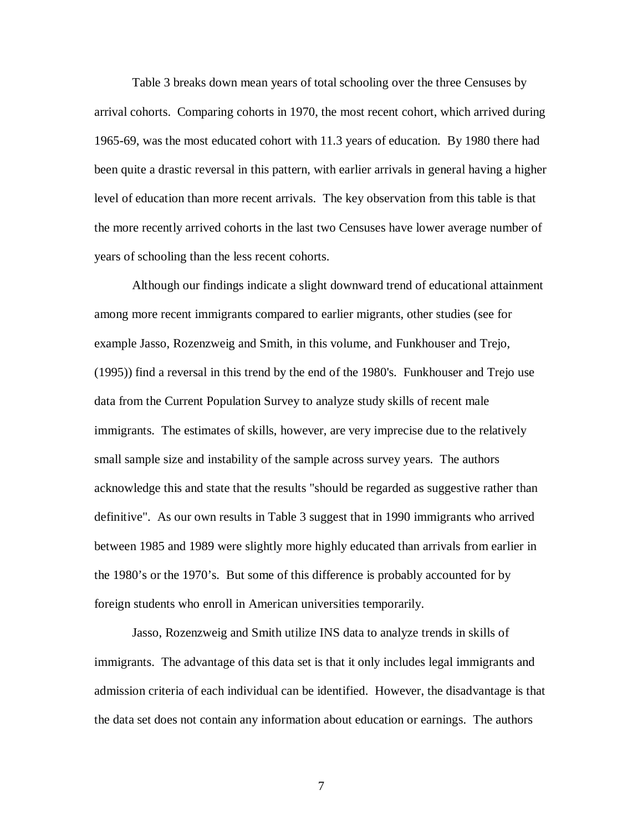Table 3 breaks down mean years of total schooling over the three Censuses by arrival cohorts. Comparing cohorts in 1970, the most recent cohort, which arrived during 1965-69, was the most educated cohort with 11.3 years of education. By 1980 there had been quite a drastic reversal in this pattern, with earlier arrivals in general having a higher level of education than more recent arrivals. The key observation from this table is that the more recently arrived cohorts in the last two Censuses have lower average number of years of schooling than the less recent cohorts.

Although our findings indicate a slight downward trend of educational attainment among more recent immigrants compared to earlier migrants, other studies (see for example Jasso, Rozenzweig and Smith, in this volume, and Funkhouser and Trejo, (1995)) find a reversal in this trend by the end of the 1980's. Funkhouser and Trejo use data from the Current Population Survey to analyze study skills of recent male immigrants. The estimates of skills, however, are very imprecise due to the relatively small sample size and instability of the sample across survey years. The authors acknowledge this and state that the results "should be regarded as suggestive rather than definitive". As our own results in Table 3 suggest that in 1990 immigrants who arrived between 1985 and 1989 were slightly more highly educated than arrivals from earlier in the 1980's or the 1970's. But some of this difference is probably accounted for by foreign students who enroll in American universities temporarily.

Jasso, Rozenzweig and Smith utilize INS data to analyze trends in skills of immigrants. The advantage of this data set is that it only includes legal immigrants and admission criteria of each individual can be identified. However, the disadvantage is that the data set does not contain any information about education or earnings. The authors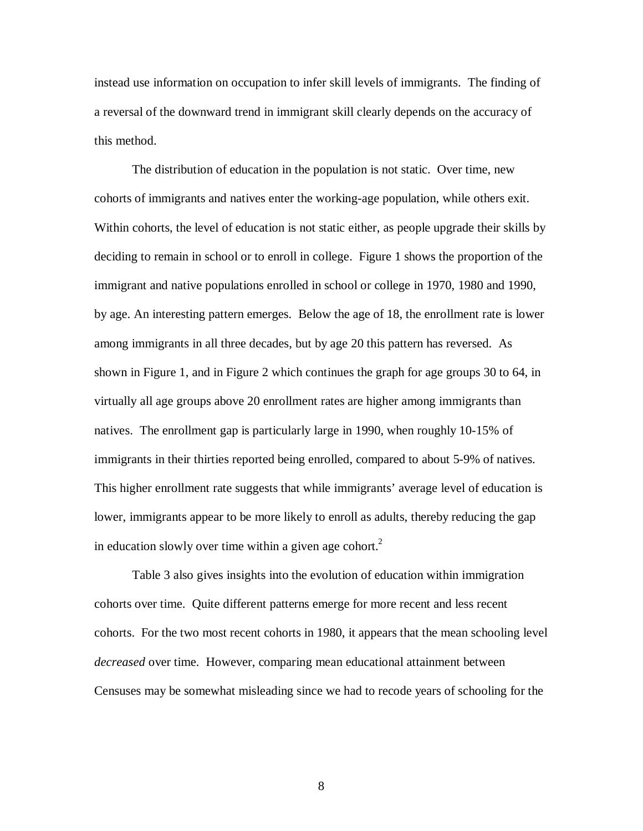instead use information on occupation to infer skill levels of immigrants. The finding of a reversal of the downward trend in immigrant skill clearly depends on the accuracy of this method.

The distribution of education in the population is not static. Over time, new cohorts of immigrants and natives enter the working-age population, while others exit. Within cohorts, the level of education is not static either, as people upgrade their skills by deciding to remain in school or to enroll in college. Figure 1 shows the proportion of the immigrant and native populations enrolled in school or college in 1970, 1980 and 1990, by age. An interesting pattern emerges. Below the age of 18, the enrollment rate is lower among immigrants in all three decades, but by age 20 this pattern has reversed. As shown in Figure 1, and in Figure 2 which continues the graph for age groups 30 to 64, in virtually all age groups above 20 enrollment rates are higher among immigrants than natives. The enrollment gap is particularly large in 1990, when roughly 10-15% of immigrants in their thirties reported being enrolled, compared to about 5-9% of natives. This higher enrollment rate suggests that while immigrants' average level of education is lower, immigrants appear to be more likely to enroll as adults, thereby reducing the gap in education slowly over time within a given age cohort.<sup>2</sup>

Table 3 also gives insights into the evolution of education within immigration cohorts over time. Quite different patterns emerge for more recent and less recent cohorts. For the two most recent cohorts in 1980, it appears that the mean schooling level *decreased* over time. However, comparing mean educational attainment between Censuses may be somewhat misleading since we had to recode years of schooling for the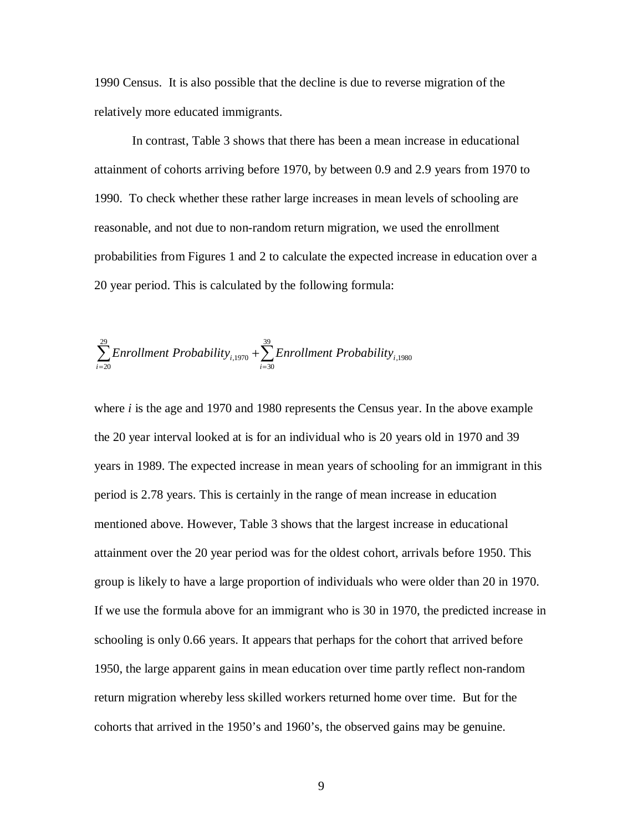1990 Census. It is also possible that the decline is due to reverse migration of the relatively more educated immigrants.

In contrast, Table 3 shows that there has been a mean increase in educational attainment of cohorts arriving before 1970, by between 0.9 and 2.9 years from 1970 to 1990. To check whether these rather large increases in mean levels of schooling are reasonable, and not due to non-random return migration, we used the enrollment probabilities from Figures 1 and 2 to calculate the expected increase in education over a 20 year period. This is calculated by the following formula:

$$
\sum_{i=20}^{29} Enrollment Probability_{i,1970} + \sum_{i=30}^{39} Enrollment Probability_{i,1980}
$$

where *i* is the age and 1970 and 1980 represents the Census year. In the above example the 20 year interval looked at is for an individual who is 20 years old in 1970 and 39 years in 1989. The expected increase in mean years of schooling for an immigrant in this period is 2.78 years. This is certainly in the range of mean increase in education mentioned above. However, Table 3 shows that the largest increase in educational attainment over the 20 year period was for the oldest cohort, arrivals before 1950. This group is likely to have a large proportion of individuals who were older than 20 in 1970. If we use the formula above for an immigrant who is 30 in 1970, the predicted increase in schooling is only 0.66 years. It appears that perhaps for the cohort that arrived before 1950, the large apparent gains in mean education over time partly reflect non-random return migration whereby less skilled workers returned home over time. But for the cohorts that arrived in the 1950's and 1960's, the observed gains may be genuine.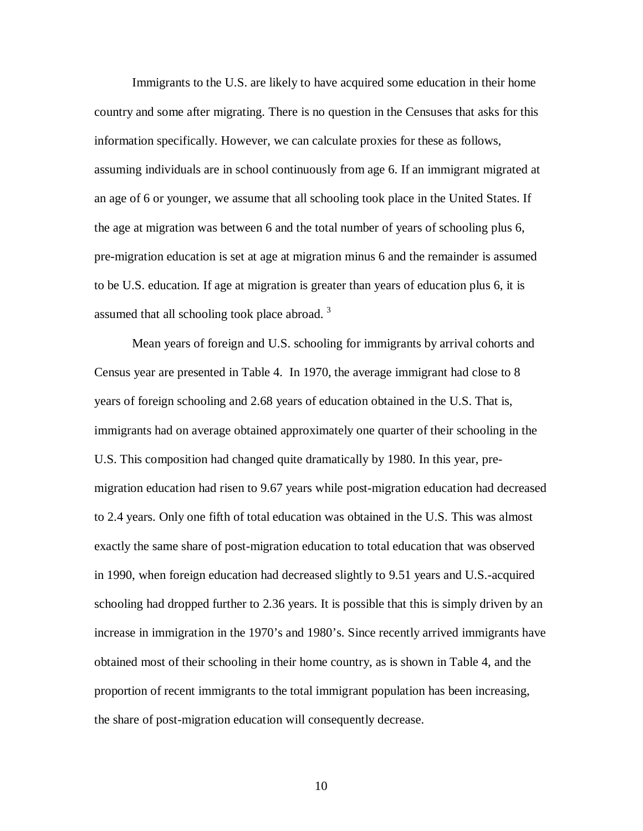Immigrants to the U.S. are likely to have acquired some education in their home country and some after migrating. There is no question in the Censuses that asks for this information specifically. However, we can calculate proxies for these as follows, assuming individuals are in school continuously from age 6. If an immigrant migrated at an age of 6 or younger, we assume that all schooling took place in the United States. If the age at migration was between 6 and the total number of years of schooling plus 6, pre-migration education is set at age at migration minus 6 and the remainder is assumed to be U.S. education. If age at migration is greater than years of education plus 6, it is assumed that all schooling took place abroad.<sup>3</sup>

Mean years of foreign and U.S. schooling for immigrants by arrival cohorts and Census year are presented in Table 4. In 1970, the average immigrant had close to 8 years of foreign schooling and 2.68 years of education obtained in the U.S. That is, immigrants had on average obtained approximately one quarter of their schooling in the U.S. This composition had changed quite dramatically by 1980. In this year, premigration education had risen to 9.67 years while post-migration education had decreased to 2.4 years. Only one fifth of total education was obtained in the U.S. This was almost exactly the same share of post-migration education to total education that was observed in 1990, when foreign education had decreased slightly to 9.51 years and U.S.-acquired schooling had dropped further to 2.36 years. It is possible that this is simply driven by an increase in immigration in the 1970's and 1980's. Since recently arrived immigrants have obtained most of their schooling in their home country, as is shown in Table 4, and the proportion of recent immigrants to the total immigrant population has been increasing, the share of post-migration education will consequently decrease.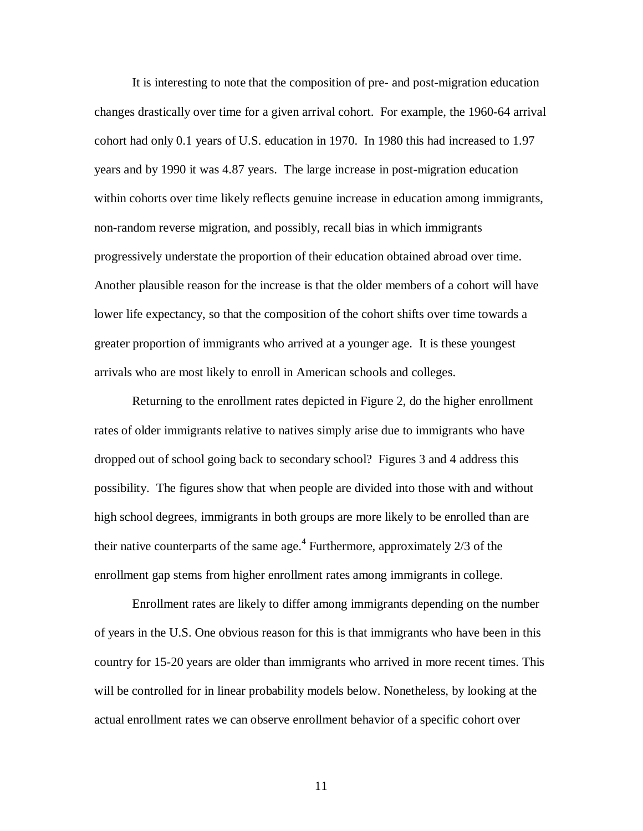It is interesting to note that the composition of pre- and post-migration education changes drastically over time for a given arrival cohort. For example, the 1960-64 arrival cohort had only 0.1 years of U.S. education in 1970. In 1980 this had increased to 1.97 years and by 1990 it was 4.87 years. The large increase in post-migration education within cohorts over time likely reflects genuine increase in education among immigrants, non-random reverse migration, and possibly, recall bias in which immigrants progressively understate the proportion of their education obtained abroad over time. Another plausible reason for the increase is that the older members of a cohort will have lower life expectancy, so that the composition of the cohort shifts over time towards a greater proportion of immigrants who arrived at a younger age. It is these youngest arrivals who are most likely to enroll in American schools and colleges.

Returning to the enrollment rates depicted in Figure 2, do the higher enrollment rates of older immigrants relative to natives simply arise due to immigrants who have dropped out of school going back to secondary school? Figures 3 and 4 address this possibility. The figures show that when people are divided into those with and without high school degrees, immigrants in both groups are more likely to be enrolled than are their native counterparts of the same age.<sup>4</sup> Furthermore, approximately  $2/3$  of the enrollment gap stems from higher enrollment rates among immigrants in college.

Enrollment rates are likely to differ among immigrants depending on the number of years in the U.S. One obvious reason for this is that immigrants who have been in this country for 15-20 years are older than immigrants who arrived in more recent times. This will be controlled for in linear probability models below. Nonetheless, by looking at the actual enrollment rates we can observe enrollment behavior of a specific cohort over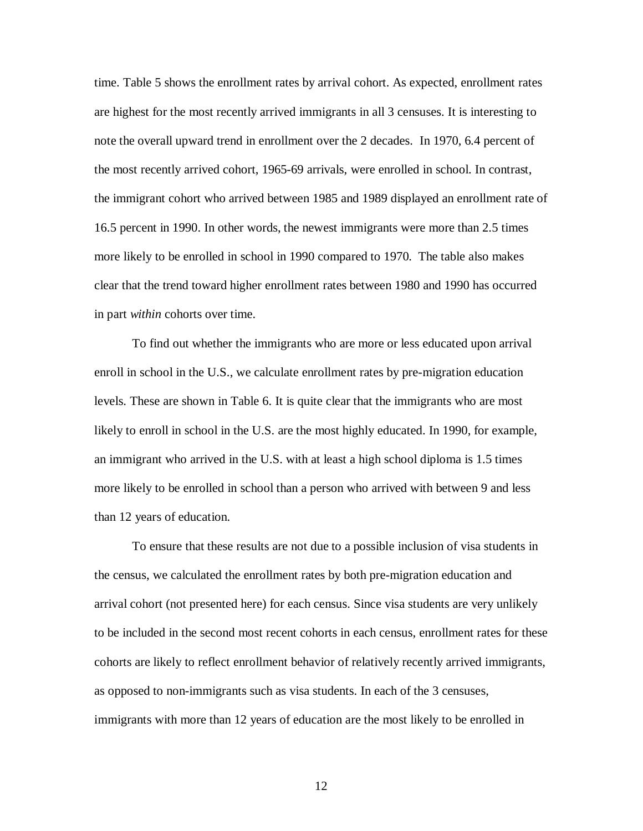time. Table 5 shows the enrollment rates by arrival cohort. As expected, enrollment rates are highest for the most recently arrived immigrants in all 3 censuses. It is interesting to note the overall upward trend in enrollment over the 2 decades. In 1970, 6.4 percent of the most recently arrived cohort, 1965-69 arrivals, were enrolled in school. In contrast, the immigrant cohort who arrived between 1985 and 1989 displayed an enrollment rate of 16.5 percent in 1990. In other words, the newest immigrants were more than 2.5 times more likely to be enrolled in school in 1990 compared to 1970. The table also makes clear that the trend toward higher enrollment rates between 1980 and 1990 has occurred in part *within* cohorts over time.

To find out whether the immigrants who are more or less educated upon arrival enroll in school in the U.S., we calculate enrollment rates by pre-migration education levels. These are shown in Table 6. It is quite clear that the immigrants who are most likely to enroll in school in the U.S. are the most highly educated. In 1990, for example, an immigrant who arrived in the U.S. with at least a high school diploma is 1.5 times more likely to be enrolled in school than a person who arrived with between 9 and less than 12 years of education.

To ensure that these results are not due to a possible inclusion of visa students in the census, we calculated the enrollment rates by both pre-migration education and arrival cohort (not presented here) for each census. Since visa students are very unlikely to be included in the second most recent cohorts in each census, enrollment rates for these cohorts are likely to reflect enrollment behavior of relatively recently arrived immigrants, as opposed to non-immigrants such as visa students. In each of the 3 censuses, immigrants with more than 12 years of education are the most likely to be enrolled in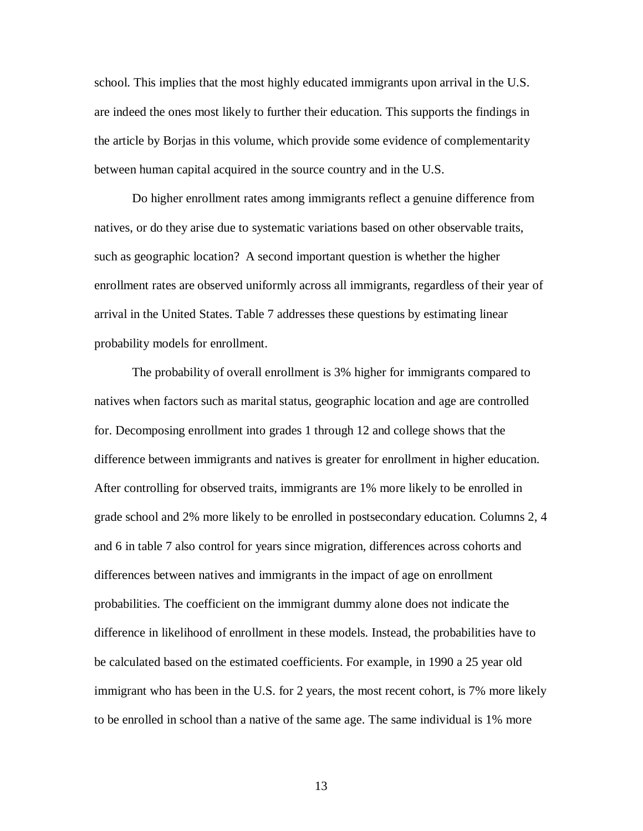school. This implies that the most highly educated immigrants upon arrival in the U.S. are indeed the ones most likely to further their education. This supports the findings in the article by Borjas in this volume, which provide some evidence of complementarity between human capital acquired in the source country and in the U.S.

Do higher enrollment rates among immigrants reflect a genuine difference from natives, or do they arise due to systematic variations based on other observable traits, such as geographic location? A second important question is whether the higher enrollment rates are observed uniformly across all immigrants, regardless of their year of arrival in the United States. Table 7 addresses these questions by estimating linear probability models for enrollment.

The probability of overall enrollment is 3% higher for immigrants compared to natives when factors such as marital status, geographic location and age are controlled for. Decomposing enrollment into grades 1 through 12 and college shows that the difference between immigrants and natives is greater for enrollment in higher education. After controlling for observed traits, immigrants are 1% more likely to be enrolled in grade school and 2% more likely to be enrolled in postsecondary education. Columns 2, 4 and 6 in table 7 also control for years since migration, differences across cohorts and differences between natives and immigrants in the impact of age on enrollment probabilities. The coefficient on the immigrant dummy alone does not indicate the difference in likelihood of enrollment in these models. Instead, the probabilities have to be calculated based on the estimated coefficients. For example, in 1990 a 25 year old immigrant who has been in the U.S. for 2 years, the most recent cohort, is 7% more likely to be enrolled in school than a native of the same age. The same individual is 1% more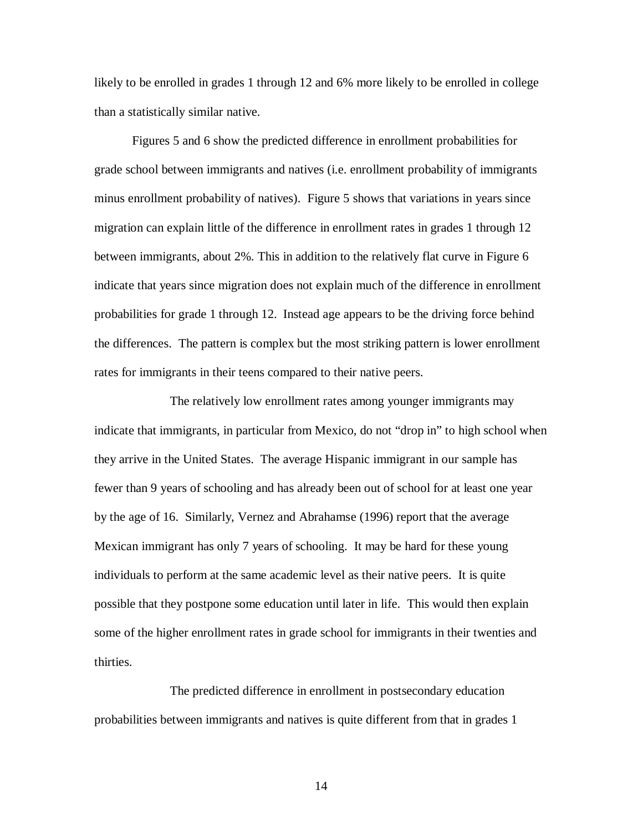likely to be enrolled in grades 1 through 12 and 6% more likely to be enrolled in college than a statistically similar native.

Figures 5 and 6 show the predicted difference in enrollment probabilities for grade school between immigrants and natives (i.e. enrollment probability of immigrants minus enrollment probability of natives). Figure 5 shows that variations in years since migration can explain little of the difference in enrollment rates in grades 1 through 12 between immigrants, about 2%. This in addition to the relatively flat curve in Figure 6 indicate that years since migration does not explain much of the difference in enrollment probabilities for grade 1 through 12. Instead age appears to be the driving force behind the differences. The pattern is complex but the most striking pattern is lower enrollment rates for immigrants in their teens compared to their native peers.

The relatively low enrollment rates among younger immigrants may indicate that immigrants, in particular from Mexico, do not "drop in" to high school when they arrive in the United States. The average Hispanic immigrant in our sample has fewer than 9 years of schooling and has already been out of school for at least one year by the age of 16. Similarly, Vernez and Abrahamse (1996) report that the average Mexican immigrant has only 7 years of schooling. It may be hard for these young individuals to perform at the same academic level as their native peers. It is quite possible that they postpone some education until later in life. This would then explain some of the higher enrollment rates in grade school for immigrants in their twenties and thirties.

The predicted difference in enrollment in postsecondary education probabilities between immigrants and natives is quite different from that in grades 1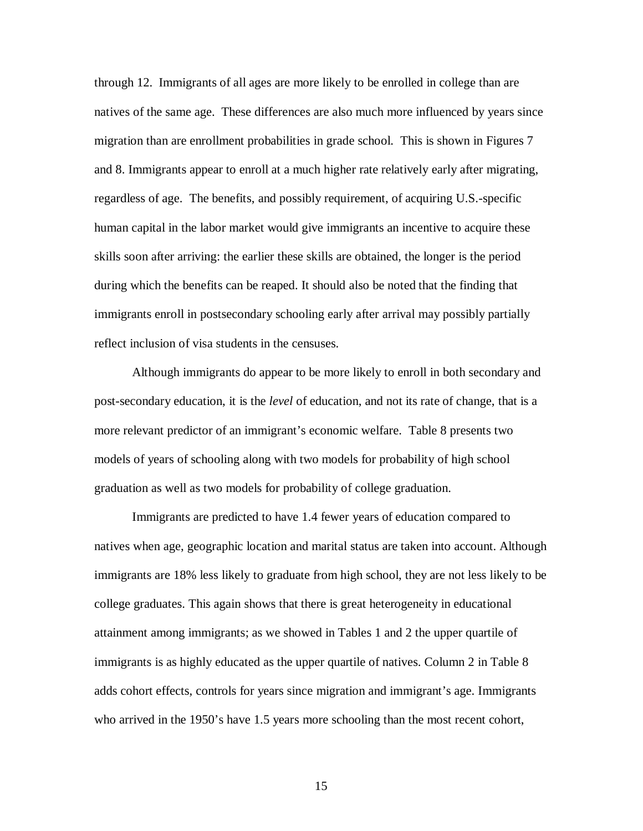through 12. Immigrants of all ages are more likely to be enrolled in college than are natives of the same age. These differences are also much more influenced by years since migration than are enrollment probabilities in grade school. This is shown in Figures 7 and 8. Immigrants appear to enroll at a much higher rate relatively early after migrating, regardless of age. The benefits, and possibly requirement, of acquiring U.S.-specific human capital in the labor market would give immigrants an incentive to acquire these skills soon after arriving: the earlier these skills are obtained, the longer is the period during which the benefits can be reaped. It should also be noted that the finding that immigrants enroll in postsecondary schooling early after arrival may possibly partially reflect inclusion of visa students in the censuses.

Although immigrants do appear to be more likely to enroll in both secondary and post-secondary education, it is the *level* of education, and not its rate of change, that is a more relevant predictor of an immigrant's economic welfare. Table 8 presents two models of years of schooling along with two models for probability of high school graduation as well as two models for probability of college graduation.

Immigrants are predicted to have 1.4 fewer years of education compared to natives when age, geographic location and marital status are taken into account. Although immigrants are 18% less likely to graduate from high school, they are not less likely to be college graduates. This again shows that there is great heterogeneity in educational attainment among immigrants; as we showed in Tables 1 and 2 the upper quartile of immigrants is as highly educated as the upper quartile of natives. Column 2 in Table 8 adds cohort effects, controls for years since migration and immigrant's age. Immigrants who arrived in the 1950's have 1.5 years more schooling than the most recent cohort,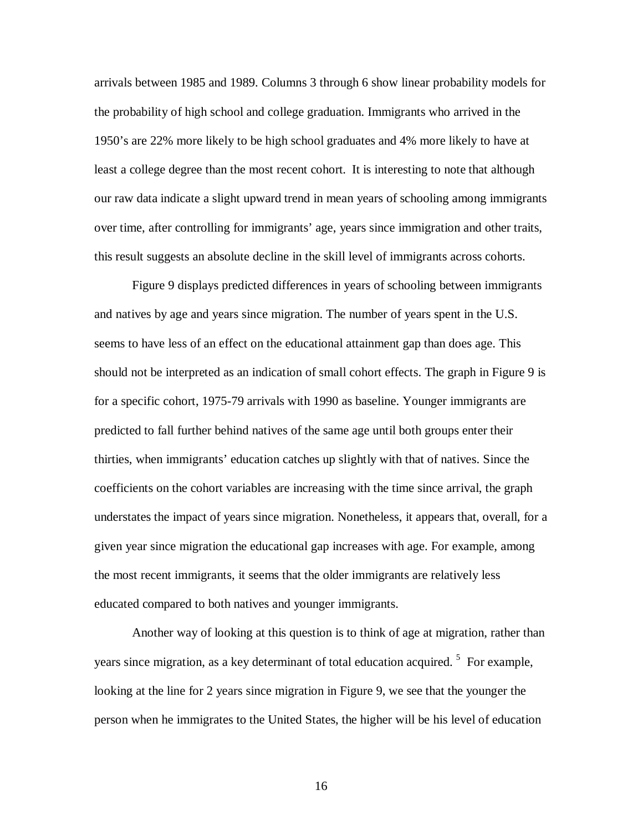arrivals between 1985 and 1989. Columns 3 through 6 show linear probability models for the probability of high school and college graduation. Immigrants who arrived in the 1950's are 22% more likely to be high school graduates and 4% more likely to have at least a college degree than the most recent cohort. It is interesting to note that although our raw data indicate a slight upward trend in mean years of schooling among immigrants over time, after controlling for immigrants' age, years since immigration and other traits, this result suggests an absolute decline in the skill level of immigrants across cohorts.

Figure 9 displays predicted differences in years of schooling between immigrants and natives by age and years since migration. The number of years spent in the U.S. seems to have less of an effect on the educational attainment gap than does age. This should not be interpreted as an indication of small cohort effects. The graph in Figure 9 is for a specific cohort, 1975-79 arrivals with 1990 as baseline. Younger immigrants are predicted to fall further behind natives of the same age until both groups enter their thirties, when immigrants' education catches up slightly with that of natives. Since the coefficients on the cohort variables are increasing with the time since arrival, the graph understates the impact of years since migration. Nonetheless, it appears that, overall, for a given year since migration the educational gap increases with age. For example, among the most recent immigrants, it seems that the older immigrants are relatively less educated compared to both natives and younger immigrants.

Another way of looking at this question is to think of age at migration, rather than years since migration, as a key determinant of total education acquired.<sup>5</sup> For example, looking at the line for 2 years since migration in Figure 9, we see that the younger the person when he immigrates to the United States, the higher will be his level of education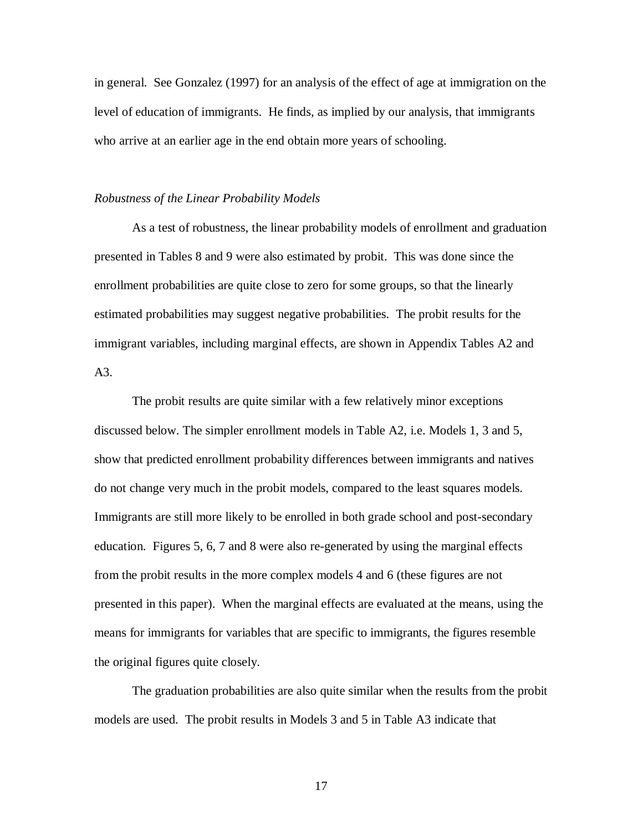in general. See Gonzalez (1997) for an analysis of the effect of age at immigration on the level of education of immigrants. He finds, as implied by our analysis, that immigrants who arrive at an earlier age in the end obtain more years of schooling.

#### *Robustness of the Linear Probability Models*

As a test of robustness, the linear probability models of enrollment and graduation presented in Tables 8 and 9 were also estimated by probit. This was done since the enrollment probabilities are quite close to zero for some groups, so that the linearly estimated probabilities may suggest negative probabilities. The probit results for the immigrant variables, including marginal effects, are shown in Appendix Tables A2 and  $A3$ .

The probit results are quite similar with a few relatively minor exceptions discussed below. The simpler enrollment models in Table A2, i.e. Models 1, 3 and 5, show that predicted enrollment probability differences between immigrants and natives do not change very much in the probit models, compared to the least squares models. Immigrants are still more likely to be enrolled in both grade school and post-secondary education. Figures 5, 6, 7 and 8 were also re-generated by using the marginal effects from the probit results in the more complex models 4 and 6 (these figures are not presented in this paper). When the marginal effects are evaluated at the means, using the means for immigrants for variables that are specific to immigrants, the figures resemble the original figures quite closely.

The graduation probabilities are also quite similar when the results from the probit models are used. The probit results in Models 3 and 5 in Table A3 indicate that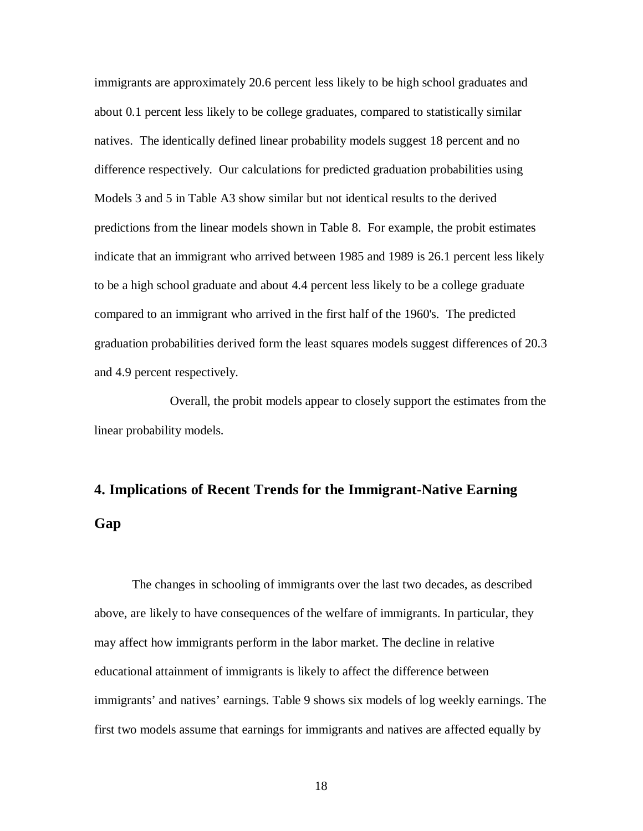immigrants are approximately 20.6 percent less likely to be high school graduates and about 0.1 percent less likely to be college graduates, compared to statistically similar natives. The identically defined linear probability models suggest 18 percent and no difference respectively. Our calculations for predicted graduation probabilities using Models 3 and 5 in Table A3 show similar but not identical results to the derived predictions from the linear models shown in Table 8. For example, the probit estimates indicate that an immigrant who arrived between 1985 and 1989 is 26.1 percent less likely to be a high school graduate and about 4.4 percent less likely to be a college graduate compared to an immigrant who arrived in the first half of the 1960's. The predicted graduation probabilities derived form the least squares models suggest differences of 20.3 and 4.9 percent respectively.

Overall, the probit models appear to closely support the estimates from the linear probability models.

# **4. Implications of Recent Trends for the Immigrant-Native Earning Gap**

The changes in schooling of immigrants over the last two decades, as described above, are likely to have consequences of the welfare of immigrants. In particular, they may affect how immigrants perform in the labor market. The decline in relative educational attainment of immigrants is likely to affect the difference between immigrants' and natives' earnings. Table 9 shows six models of log weekly earnings. The first two models assume that earnings for immigrants and natives are affected equally by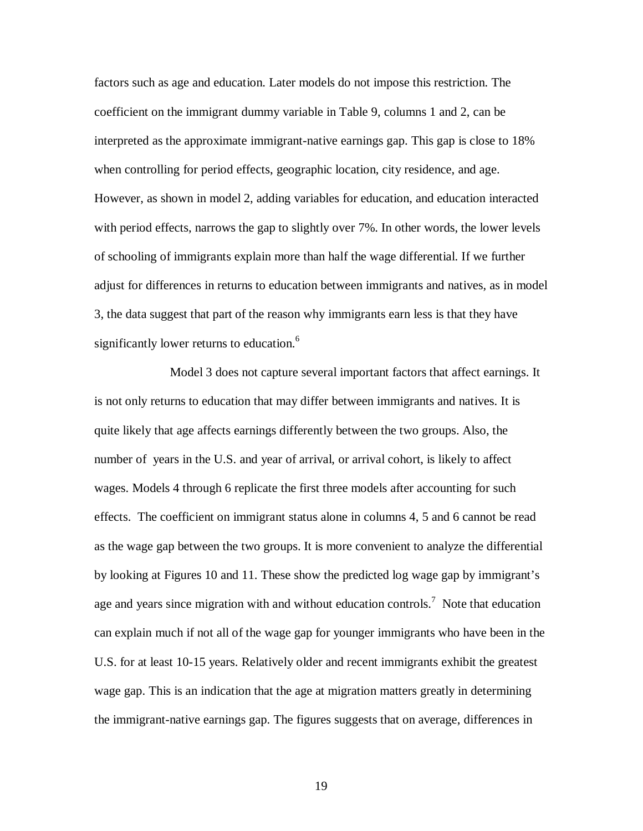factors such as age and education. Later models do not impose this restriction. The coefficient on the immigrant dummy variable in Table 9, columns 1 and 2, can be interpreted as the approximate immigrant-native earnings gap. This gap is close to 18% when controlling for period effects, geographic location, city residence, and age. However, as shown in model 2, adding variables for education, and education interacted with period effects, narrows the gap to slightly over 7%. In other words, the lower levels of schooling of immigrants explain more than half the wage differential. If we further adjust for differences in returns to education between immigrants and natives, as in model 3, the data suggest that part of the reason why immigrants earn less is that they have significantly lower returns to education.<sup>6</sup>

Model 3 does not capture several important factors that affect earnings. It is not only returns to education that may differ between immigrants and natives. It is quite likely that age affects earnings differently between the two groups. Also, the number of years in the U.S. and year of arrival, or arrival cohort, is likely to affect wages. Models 4 through 6 replicate the first three models after accounting for such effects. The coefficient on immigrant status alone in columns 4, 5 and 6 cannot be read as the wage gap between the two groups. It is more convenient to analyze the differential by looking at Figures 10 and 11. These show the predicted log wage gap by immigrant's age and years since migration with and without education controls.<sup>7</sup> Note that education can explain much if not all of the wage gap for younger immigrants who have been in the U.S. for at least 10-15 years. Relatively older and recent immigrants exhibit the greatest wage gap. This is an indication that the age at migration matters greatly in determining the immigrant-native earnings gap. The figures suggests that on average, differences in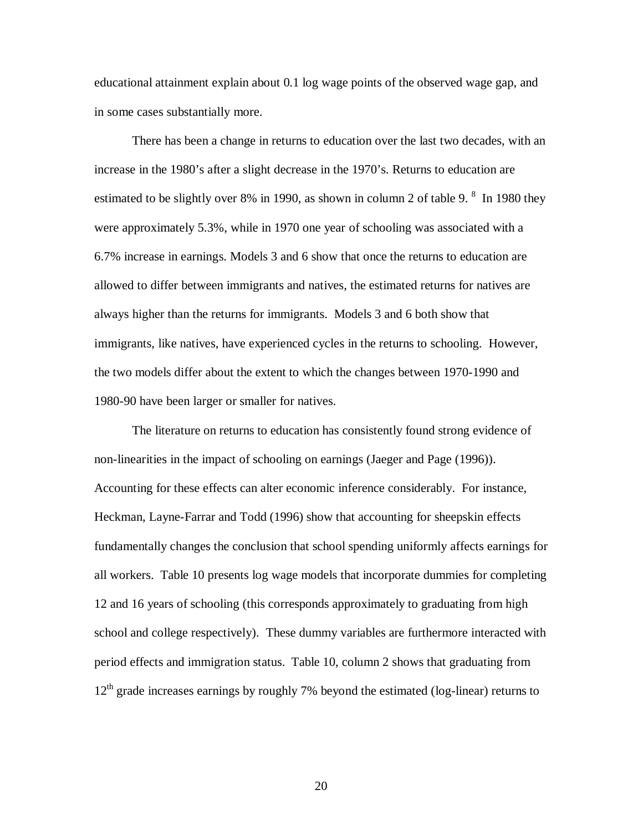educational attainment explain about 0.1 log wage points of the observed wage gap, and in some cases substantially more.

There has been a change in returns to education over the last two decades, with an increase in the 1980's after a slight decrease in the 1970's. Returns to education are estimated to be slightly over 8% in 1990, as shown in column 2 of table 9. <sup>8</sup> In 1980 they were approximately 5.3%, while in 1970 one year of schooling was associated with a 6.7% increase in earnings. Models 3 and 6 show that once the returns to education are allowed to differ between immigrants and natives, the estimated returns for natives are always higher than the returns for immigrants. Models 3 and 6 both show that immigrants, like natives, have experienced cycles in the returns to schooling. However, the two models differ about the extent to which the changes between 1970-1990 and 1980-90 have been larger or smaller for natives.

The literature on returns to education has consistently found strong evidence of non-linearities in the impact of schooling on earnings (Jaeger and Page (1996)). Accounting for these effects can alter economic inference considerably. For instance, Heckman, Layne-Farrar and Todd (1996) show that accounting for sheepskin effects fundamentally changes the conclusion that school spending uniformly affects earnings for all workers. Table 10 presents log wage models that incorporate dummies for completing 12 and 16 years of schooling (this corresponds approximately to graduating from high school and college respectively). These dummy variables are furthermore interacted with period effects and immigration status. Table 10, column 2 shows that graduating from  $12<sup>th</sup>$  grade increases earnings by roughly 7% beyond the estimated (log-linear) returns to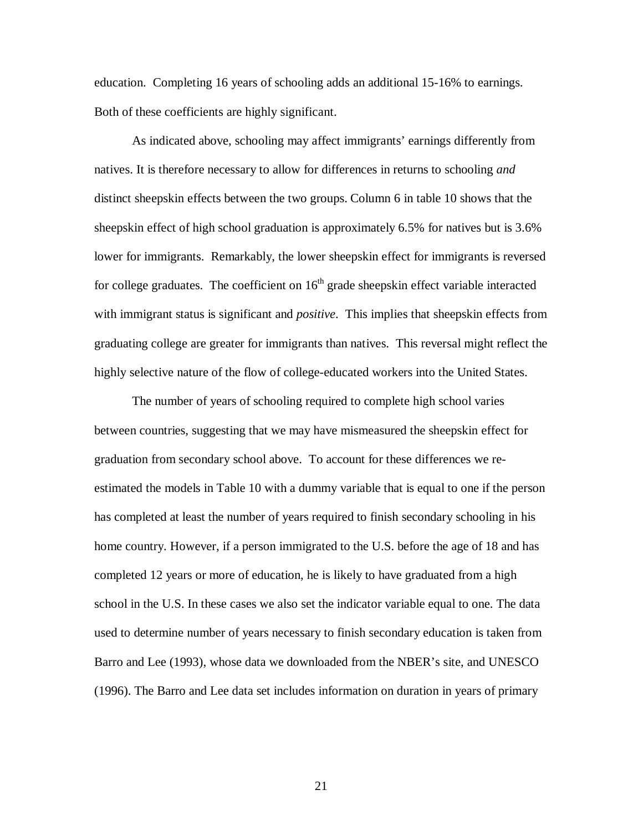education. Completing 16 years of schooling adds an additional 15-16% to earnings. Both of these coefficients are highly significant.

As indicated above, schooling may affect immigrants' earnings differently from natives. It is therefore necessary to allow for differences in returns to schooling *and* distinct sheepskin effects between the two groups. Column 6 in table 10 shows that the sheepskin effect of high school graduation is approximately 6.5% for natives but is 3.6% lower for immigrants. Remarkably, the lower sheepskin effect for immigrants is reversed for college graduates. The coefficient on  $16<sup>th</sup>$  grade sheepskin effect variable interacted with immigrant status is significant and *positive*. This implies that sheepskin effects from graduating college are greater for immigrants than natives. This reversal might reflect the highly selective nature of the flow of college-educated workers into the United States.

The number of years of schooling required to complete high school varies between countries, suggesting that we may have mismeasured the sheepskin effect for graduation from secondary school above. To account for these differences we reestimated the models in Table 10 with a dummy variable that is equal to one if the person has completed at least the number of years required to finish secondary schooling in his home country. However, if a person immigrated to the U.S. before the age of 18 and has completed 12 years or more of education, he is likely to have graduated from a high school in the U.S. In these cases we also set the indicator variable equal to one. The data used to determine number of years necessary to finish secondary education is taken from Barro and Lee (1993), whose data we downloaded from the NBER's site, and UNESCO (1996). The Barro and Lee data set includes information on duration in years of primary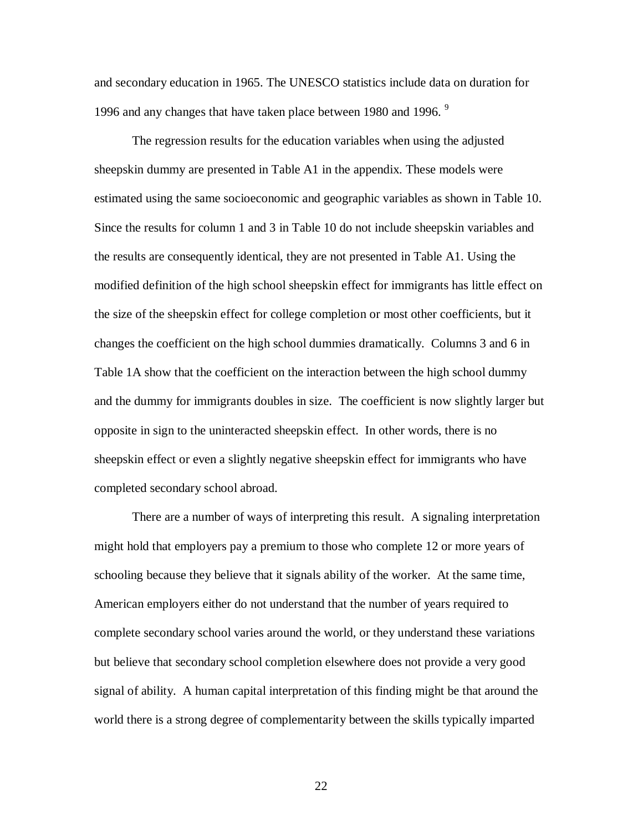and secondary education in 1965. The UNESCO statistics include data on duration for 1996 and any changes that have taken place between 1980 and 1996. <sup>9</sup>

The regression results for the education variables when using the adjusted sheepskin dummy are presented in Table A1 in the appendix. These models were estimated using the same socioeconomic and geographic variables as shown in Table 10. Since the results for column 1 and 3 in Table 10 do not include sheepskin variables and the results are consequently identical, they are not presented in Table A1. Using the modified definition of the high school sheepskin effect for immigrants has little effect on the size of the sheepskin effect for college completion or most other coefficients, but it changes the coefficient on the high school dummies dramatically. Columns 3 and 6 in Table 1A show that the coefficient on the interaction between the high school dummy and the dummy for immigrants doubles in size. The coefficient is now slightly larger but opposite in sign to the uninteracted sheepskin effect. In other words, there is no sheepskin effect or even a slightly negative sheepskin effect for immigrants who have completed secondary school abroad.

There are a number of ways of interpreting this result. A signaling interpretation might hold that employers pay a premium to those who complete 12 or more years of schooling because they believe that it signals ability of the worker. At the same time, American employers either do not understand that the number of years required to complete secondary school varies around the world, or they understand these variations but believe that secondary school completion elsewhere does not provide a very good signal of ability. A human capital interpretation of this finding might be that around the world there is a strong degree of complementarity between the skills typically imparted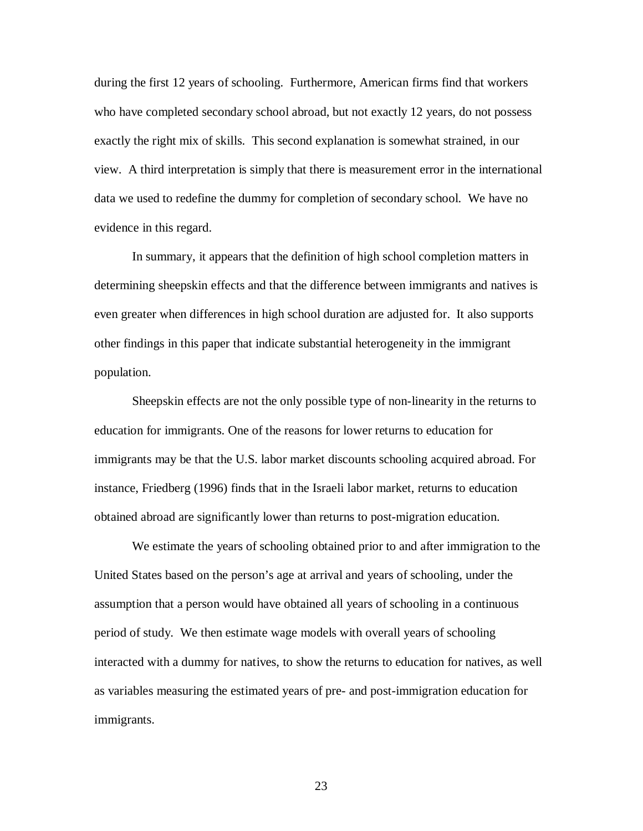during the first 12 years of schooling. Furthermore, American firms find that workers who have completed secondary school abroad, but not exactly 12 years, do not possess exactly the right mix of skills. This second explanation is somewhat strained, in our view. A third interpretation is simply that there is measurement error in the international data we used to redefine the dummy for completion of secondary school. We have no evidence in this regard.

In summary, it appears that the definition of high school completion matters in determining sheepskin effects and that the difference between immigrants and natives is even greater when differences in high school duration are adjusted for. It also supports other findings in this paper that indicate substantial heterogeneity in the immigrant population.

Sheepskin effects are not the only possible type of non-linearity in the returns to education for immigrants. One of the reasons for lower returns to education for immigrants may be that the U.S. labor market discounts schooling acquired abroad. For instance, Friedberg (1996) finds that in the Israeli labor market, returns to education obtained abroad are significantly lower than returns to post-migration education.

We estimate the years of schooling obtained prior to and after immigration to the United States based on the person's age at arrival and years of schooling, under the assumption that a person would have obtained all years of schooling in a continuous period of study. We then estimate wage models with overall years of schooling interacted with a dummy for natives, to show the returns to education for natives, as well as variables measuring the estimated years of pre- and post-immigration education for immigrants.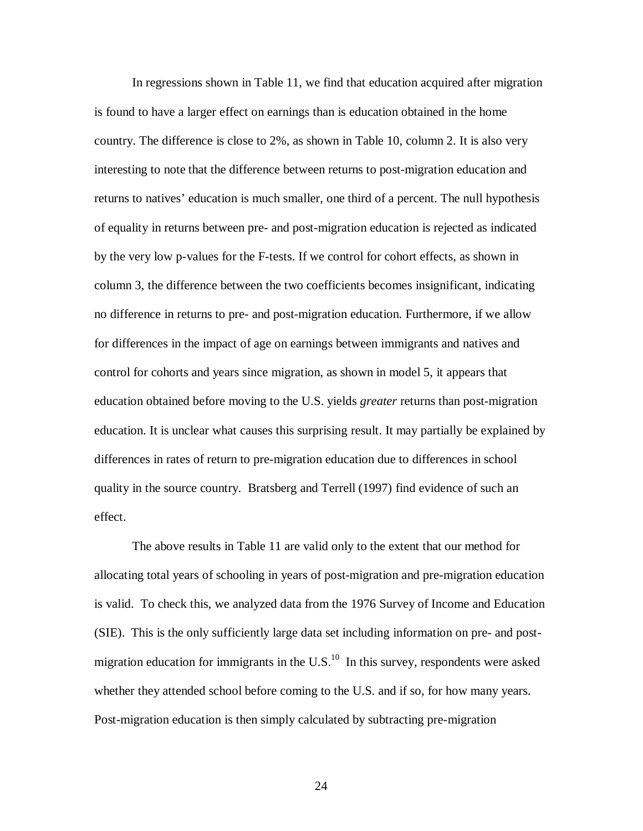In regressions shown in Table 11, we find that education acquired after migration is found to have a larger effect on earnings than is education obtained in the home country. The difference is close to 2%, as shown in Table 10, column 2. It is also very interesting to note that the difference between returns to post-migration education and returns to natives' education is much smaller, one third of a percent. The null hypothesis of equality in returns between pre- and post-migration education is rejected as indicated by the very low p-values for the F-tests. If we control for cohort effects, as shown in column 3, the difference between the two coefficients becomes insignificant, indicating no difference in returns to pre- and post-migration education. Furthermore, if we allow for differences in the impact of age on earnings between immigrants and natives and control for cohorts and years since migration, as shown in model 5, it appears that education obtained before moving to the U.S. yields *greater* returns than post-migration education. It is unclear what causes this surprising result. It may partially be explained by differences in rates of return to pre-migration education due to differences in school quality in the source country. Bratsberg and Terrell (1997) find evidence of such an effect.

The above results in Table 11 are valid only to the extent that our method for allocating total years of schooling in years of post-migration and pre-migration education is valid. To check this, we analyzed data from the 1976 Survey of Income and Education (SIE). This is the only sufficiently large data set including information on pre- and postmigration education for immigrants in the  $U.S.^{10}$  In this survey, respondents were asked whether they attended school before coming to the U.S. and if so, for how many years. Post-migration education is then simply calculated by subtracting pre-migration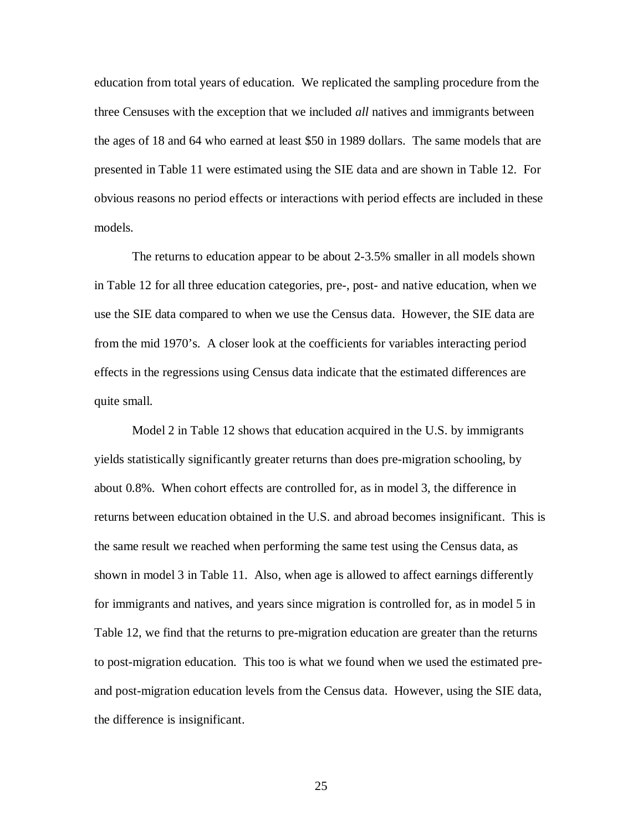education from total years of education. We replicated the sampling procedure from the three Censuses with the exception that we included *all* natives and immigrants between the ages of 18 and 64 who earned at least \$50 in 1989 dollars. The same models that are presented in Table 11 were estimated using the SIE data and are shown in Table 12. For obvious reasons no period effects or interactions with period effects are included in these models.

The returns to education appear to be about 2-3.5% smaller in all models shown in Table 12 for all three education categories, pre-, post- and native education, when we use the SIE data compared to when we use the Census data. However, the SIE data are from the mid 1970's. A closer look at the coefficients for variables interacting period effects in the regressions using Census data indicate that the estimated differences are quite small.

Model 2 in Table 12 shows that education acquired in the U.S. by immigrants yields statistically significantly greater returns than does pre-migration schooling, by about 0.8%. When cohort effects are controlled for, as in model 3, the difference in returns between education obtained in the U.S. and abroad becomes insignificant. This is the same result we reached when performing the same test using the Census data, as shown in model 3 in Table 11. Also, when age is allowed to affect earnings differently for immigrants and natives, and years since migration is controlled for, as in model 5 in Table 12, we find that the returns to pre-migration education are greater than the returns to post-migration education. This too is what we found when we used the estimated preand post-migration education levels from the Census data. However, using the SIE data, the difference is insignificant.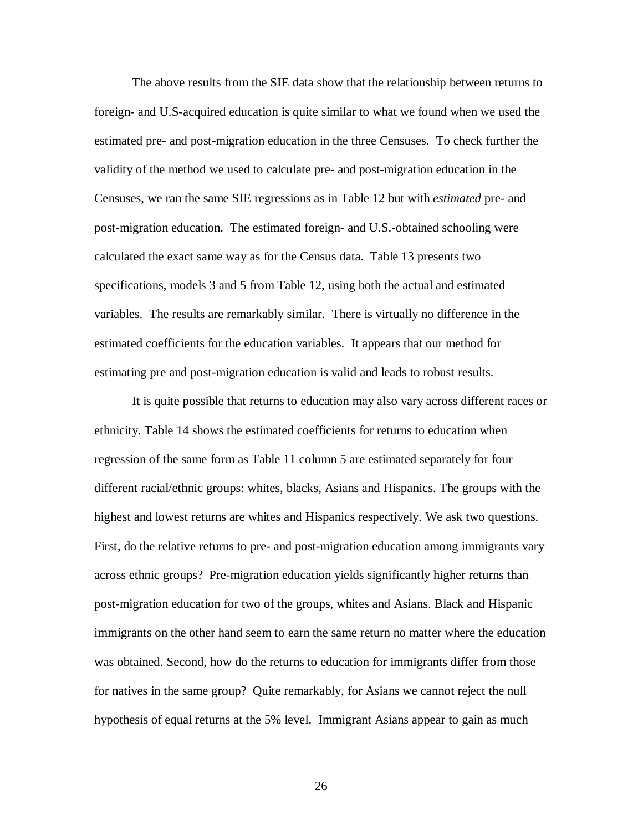The above results from the SIE data show that the relationship between returns to foreign- and U.S-acquired education is quite similar to what we found when we used the estimated pre- and post-migration education in the three Censuses. To check further the validity of the method we used to calculate pre- and post-migration education in the Censuses, we ran the same SIE regressions as in Table 12 but with *estimated* pre- and post-migration education. The estimated foreign- and U.S.-obtained schooling were calculated the exact same way as for the Census data. Table 13 presents two specifications, models 3 and 5 from Table 12, using both the actual and estimated variables. The results are remarkably similar. There is virtually no difference in the estimated coefficients for the education variables. It appears that our method for estimating pre and post-migration education is valid and leads to robust results.

It is quite possible that returns to education may also vary across different races or ethnicity. Table 14 shows the estimated coefficients for returns to education when regression of the same form as Table 11 column 5 are estimated separately for four different racial/ethnic groups: whites, blacks, Asians and Hispanics. The groups with the highest and lowest returns are whites and Hispanics respectively. We ask two questions. First, do the relative returns to pre- and post-migration education among immigrants vary across ethnic groups? Pre-migration education yields significantly higher returns than post-migration education for two of the groups, whites and Asians. Black and Hispanic immigrants on the other hand seem to earn the same return no matter where the education was obtained. Second, how do the returns to education for immigrants differ from those for natives in the same group? Quite remarkably, for Asians we cannot reject the null hypothesis of equal returns at the 5% level. Immigrant Asians appear to gain as much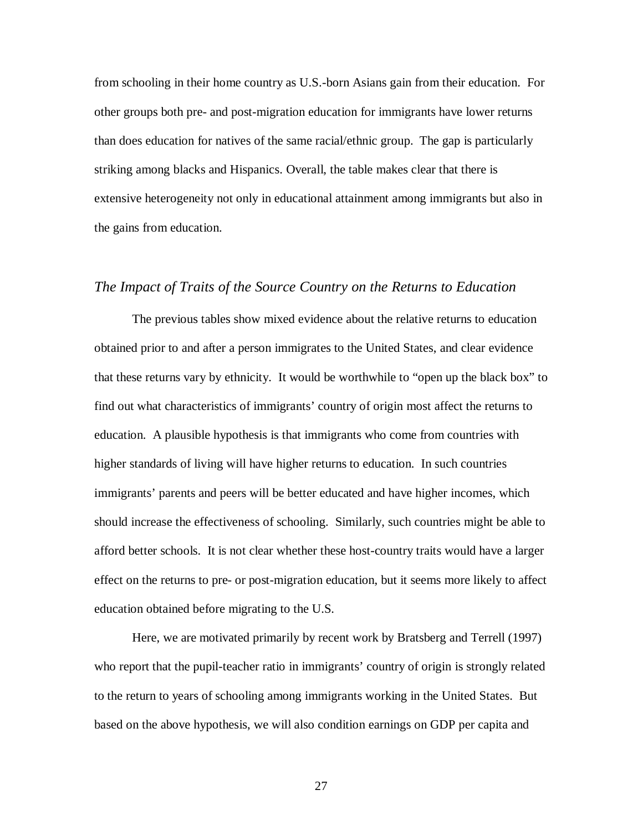from schooling in their home country as U.S.-born Asians gain from their education. For other groups both pre- and post-migration education for immigrants have lower returns than does education for natives of the same racial/ethnic group. The gap is particularly striking among blacks and Hispanics. Overall, the table makes clear that there is extensive heterogeneity not only in educational attainment among immigrants but also in the gains from education.

#### *The Impact of Traits of the Source Country on the Returns to Education*

The previous tables show mixed evidence about the relative returns to education obtained prior to and after a person immigrates to the United States, and clear evidence that these returns vary by ethnicity. It would be worthwhile to "open up the black box" to find out what characteristics of immigrants' country of origin most affect the returns to education. A plausible hypothesis is that immigrants who come from countries with higher standards of living will have higher returns to education. In such countries immigrants' parents and peers will be better educated and have higher incomes, which should increase the effectiveness of schooling. Similarly, such countries might be able to afford better schools. It is not clear whether these host-country traits would have a larger effect on the returns to pre- or post-migration education, but it seems more likely to affect education obtained before migrating to the U.S.

Here, we are motivated primarily by recent work by Bratsberg and Terrell (1997) who report that the pupil-teacher ratio in immigrants' country of origin is strongly related to the return to years of schooling among immigrants working in the United States. But based on the above hypothesis, we will also condition earnings on GDP per capita and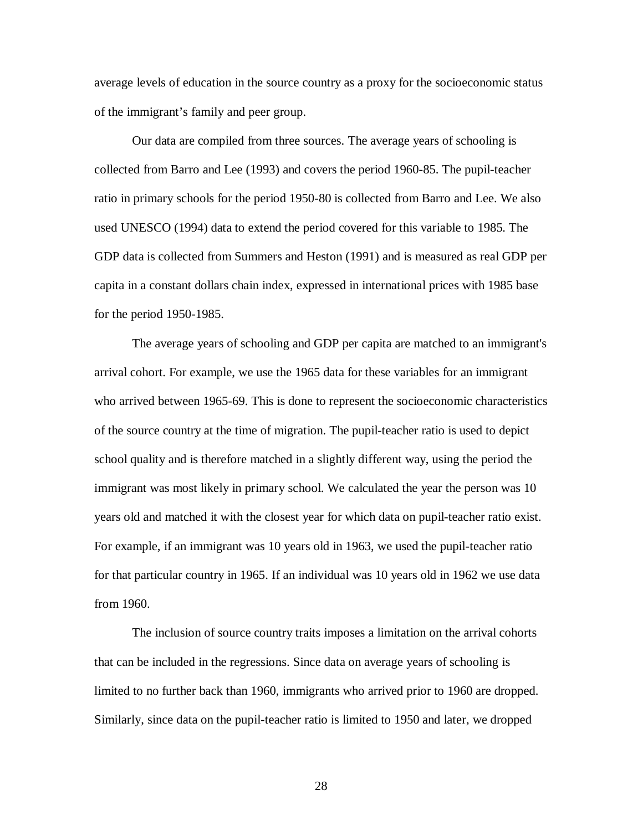average levels of education in the source country as a proxy for the socioeconomic status of the immigrant's family and peer group.

Our data are compiled from three sources. The average years of schooling is collected from Barro and Lee (1993) and covers the period 1960-85. The pupil-teacher ratio in primary schools for the period 1950-80 is collected from Barro and Lee. We also used UNESCO (1994) data to extend the period covered for this variable to 1985. The GDP data is collected from Summers and Heston (1991) and is measured as real GDP per capita in a constant dollars chain index, expressed in international prices with 1985 base for the period 1950-1985.

The average years of schooling and GDP per capita are matched to an immigrant's arrival cohort. For example, we use the 1965 data for these variables for an immigrant who arrived between 1965-69. This is done to represent the socioeconomic characteristics of the source country at the time of migration. The pupil-teacher ratio is used to depict school quality and is therefore matched in a slightly different way, using the period the immigrant was most likely in primary school. We calculated the year the person was 10 years old and matched it with the closest year for which data on pupil-teacher ratio exist. For example, if an immigrant was 10 years old in 1963, we used the pupil-teacher ratio for that particular country in 1965. If an individual was 10 years old in 1962 we use data from 1960.

The inclusion of source country traits imposes a limitation on the arrival cohorts that can be included in the regressions. Since data on average years of schooling is limited to no further back than 1960, immigrants who arrived prior to 1960 are dropped. Similarly, since data on the pupil-teacher ratio is limited to 1950 and later, we dropped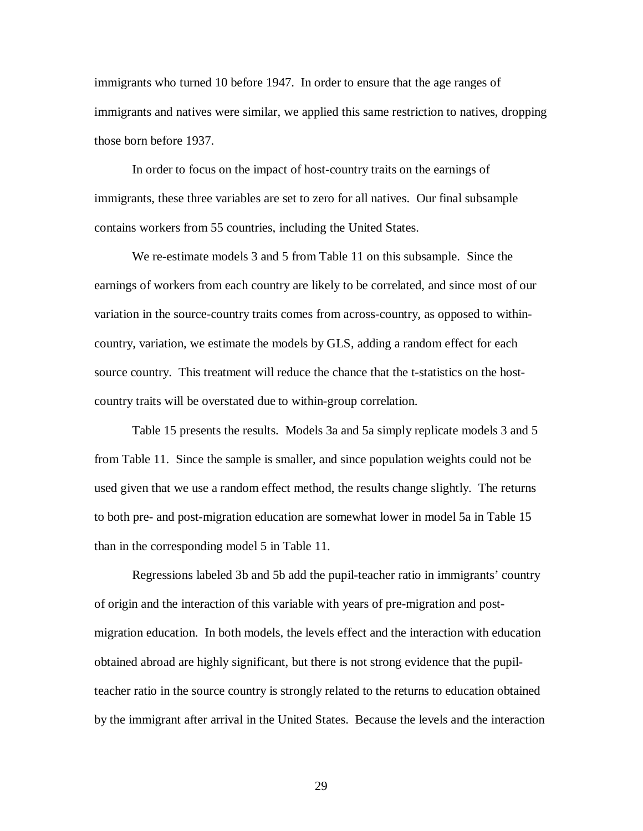immigrants who turned 10 before 1947. In order to ensure that the age ranges of immigrants and natives were similar, we applied this same restriction to natives, dropping those born before 1937.

In order to focus on the impact of host-country traits on the earnings of immigrants, these three variables are set to zero for all natives. Our final subsample contains workers from 55 countries, including the United States.

We re-estimate models 3 and 5 from Table 11 on this subsample. Since the earnings of workers from each country are likely to be correlated, and since most of our variation in the source-country traits comes from across-country, as opposed to withincountry, variation, we estimate the models by GLS, adding a random effect for each source country. This treatment will reduce the chance that the t-statistics on the hostcountry traits will be overstated due to within-group correlation.

Table 15 presents the results. Models 3a and 5a simply replicate models 3 and 5 from Table 11. Since the sample is smaller, and since population weights could not be used given that we use a random effect method, the results change slightly. The returns to both pre- and post-migration education are somewhat lower in model 5a in Table 15 than in the corresponding model 5 in Table 11.

Regressions labeled 3b and 5b add the pupil-teacher ratio in immigrants' country of origin and the interaction of this variable with years of pre-migration and postmigration education. In both models, the levels effect and the interaction with education obtained abroad are highly significant, but there is not strong evidence that the pupilteacher ratio in the source country is strongly related to the returns to education obtained by the immigrant after arrival in the United States. Because the levels and the interaction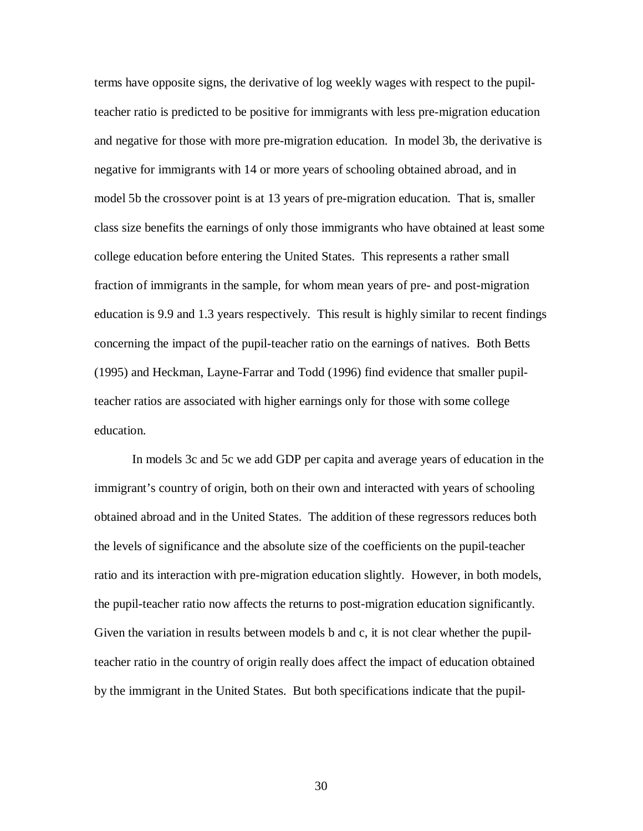terms have opposite signs, the derivative of log weekly wages with respect to the pupilteacher ratio is predicted to be positive for immigrants with less pre-migration education and negative for those with more pre-migration education. In model 3b, the derivative is negative for immigrants with 14 or more years of schooling obtained abroad, and in model 5b the crossover point is at 13 years of pre-migration education. That is, smaller class size benefits the earnings of only those immigrants who have obtained at least some college education before entering the United States. This represents a rather small fraction of immigrants in the sample, for whom mean years of pre- and post-migration education is 9.9 and 1.3 years respectively. This result is highly similar to recent findings concerning the impact of the pupil-teacher ratio on the earnings of natives. Both Betts (1995) and Heckman, Layne-Farrar and Todd (1996) find evidence that smaller pupilteacher ratios are associated with higher earnings only for those with some college education.

In models 3c and 5c we add GDP per capita and average years of education in the immigrant's country of origin, both on their own and interacted with years of schooling obtained abroad and in the United States. The addition of these regressors reduces both the levels of significance and the absolute size of the coefficients on the pupil-teacher ratio and its interaction with pre-migration education slightly. However, in both models, the pupil-teacher ratio now affects the returns to post-migration education significantly. Given the variation in results between models b and c, it is not clear whether the pupilteacher ratio in the country of origin really does affect the impact of education obtained by the immigrant in the United States. But both specifications indicate that the pupil-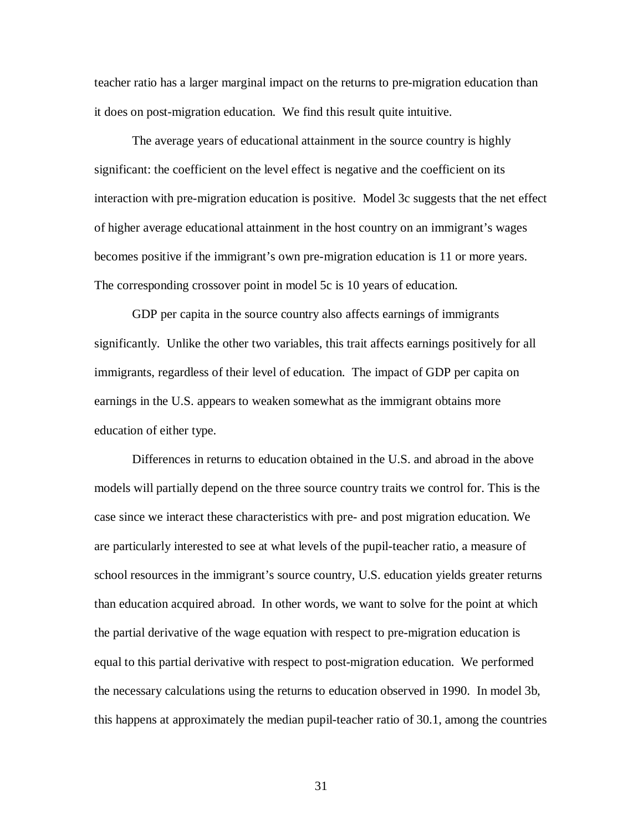teacher ratio has a larger marginal impact on the returns to pre-migration education than it does on post-migration education. We find this result quite intuitive.

The average years of educational attainment in the source country is highly significant: the coefficient on the level effect is negative and the coefficient on its interaction with pre-migration education is positive. Model 3c suggests that the net effect of higher average educational attainment in the host country on an immigrant's wages becomes positive if the immigrant's own pre-migration education is 11 or more years. The corresponding crossover point in model 5c is 10 years of education.

GDP per capita in the source country also affects earnings of immigrants significantly. Unlike the other two variables, this trait affects earnings positively for all immigrants, regardless of their level of education. The impact of GDP per capita on earnings in the U.S. appears to weaken somewhat as the immigrant obtains more education of either type.

Differences in returns to education obtained in the U.S. and abroad in the above models will partially depend on the three source country traits we control for. This is the case since we interact these characteristics with pre- and post migration education. We are particularly interested to see at what levels of the pupil-teacher ratio, a measure of school resources in the immigrant's source country, U.S. education yields greater returns than education acquired abroad. In other words, we want to solve for the point at which the partial derivative of the wage equation with respect to pre-migration education is equal to this partial derivative with respect to post-migration education. We performed the necessary calculations using the returns to education observed in 1990. In model 3b, this happens at approximately the median pupil-teacher ratio of 30.1, among the countries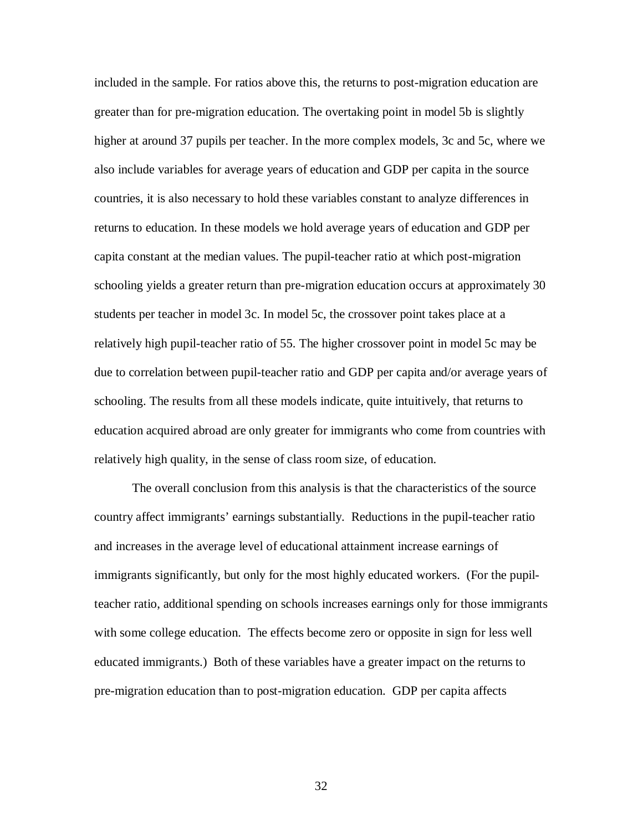included in the sample. For ratios above this, the returns to post-migration education are greater than for pre-migration education. The overtaking point in model 5b is slightly higher at around 37 pupils per teacher. In the more complex models, 3c and 5c, where we also include variables for average years of education and GDP per capita in the source countries, it is also necessary to hold these variables constant to analyze differences in returns to education. In these models we hold average years of education and GDP per capita constant at the median values. The pupil-teacher ratio at which post-migration schooling yields a greater return than pre-migration education occurs at approximately 30 students per teacher in model 3c. In model 5c, the crossover point takes place at a relatively high pupil-teacher ratio of 55. The higher crossover point in model 5c may be due to correlation between pupil-teacher ratio and GDP per capita and/or average years of schooling. The results from all these models indicate, quite intuitively, that returns to education acquired abroad are only greater for immigrants who come from countries with relatively high quality, in the sense of class room size, of education.

The overall conclusion from this analysis is that the characteristics of the source country affect immigrants' earnings substantially. Reductions in the pupil-teacher ratio and increases in the average level of educational attainment increase earnings of immigrants significantly, but only for the most highly educated workers. (For the pupilteacher ratio, additional spending on schools increases earnings only for those immigrants with some college education. The effects become zero or opposite in sign for less well educated immigrants.) Both of these variables have a greater impact on the returns to pre-migration education than to post-migration education. GDP per capita affects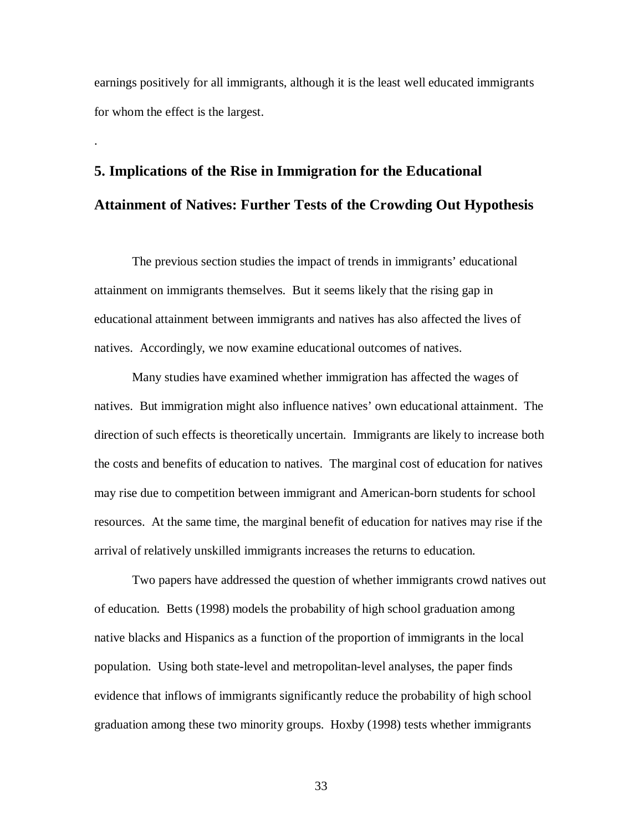earnings positively for all immigrants, although it is the least well educated immigrants for whom the effect is the largest.

.

## **5. Implications of the Rise in Immigration for the Educational Attainment of Natives: Further Tests of the Crowding Out Hypothesis**

The previous section studies the impact of trends in immigrants' educational attainment on immigrants themselves. But it seems likely that the rising gap in educational attainment between immigrants and natives has also affected the lives of natives. Accordingly, we now examine educational outcomes of natives.

Many studies have examined whether immigration has affected the wages of natives. But immigration might also influence natives' own educational attainment. The direction of such effects is theoretically uncertain. Immigrants are likely to increase both the costs and benefits of education to natives. The marginal cost of education for natives may rise due to competition between immigrant and American-born students for school resources. At the same time, the marginal benefit of education for natives may rise if the arrival of relatively unskilled immigrants increases the returns to education.

Two papers have addressed the question of whether immigrants crowd natives out of education. Betts (1998) models the probability of high school graduation among native blacks and Hispanics as a function of the proportion of immigrants in the local population. Using both state-level and metropolitan-level analyses, the paper finds evidence that inflows of immigrants significantly reduce the probability of high school graduation among these two minority groups. Hoxby (1998) tests whether immigrants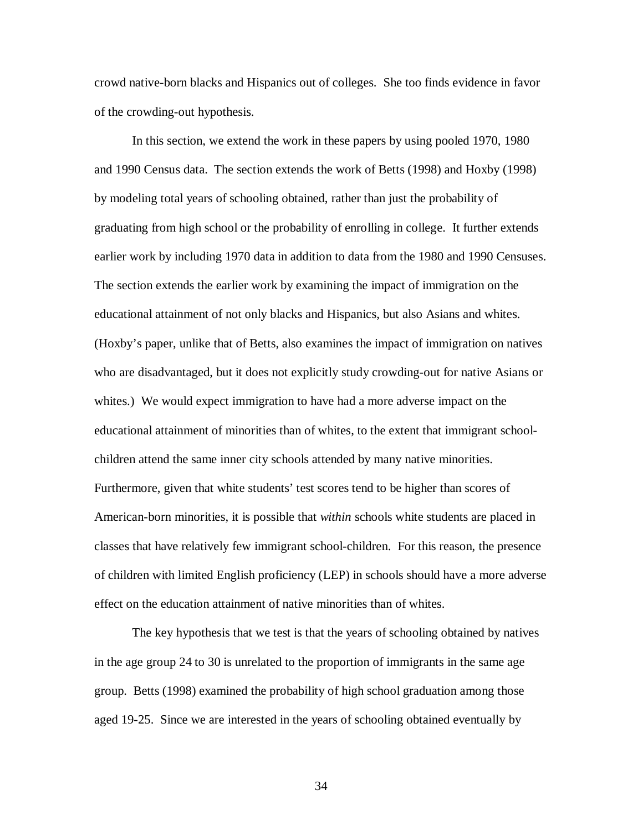crowd native-born blacks and Hispanics out of colleges. She too finds evidence in favor of the crowding-out hypothesis.

In this section, we extend the work in these papers by using pooled 1970, 1980 and 1990 Census data. The section extends the work of Betts (1998) and Hoxby (1998) by modeling total years of schooling obtained, rather than just the probability of graduating from high school or the probability of enrolling in college. It further extends earlier work by including 1970 data in addition to data from the 1980 and 1990 Censuses. The section extends the earlier work by examining the impact of immigration on the educational attainment of not only blacks and Hispanics, but also Asians and whites. (Hoxby's paper, unlike that of Betts, also examines the impact of immigration on natives who are disadvantaged, but it does not explicitly study crowding-out for native Asians or whites.) We would expect immigration to have had a more adverse impact on the educational attainment of minorities than of whites, to the extent that immigrant schoolchildren attend the same inner city schools attended by many native minorities. Furthermore, given that white students' test scores tend to be higher than scores of American-born minorities, it is possible that *within* schools white students are placed in classes that have relatively few immigrant school-children. For this reason, the presence of children with limited English proficiency (LEP) in schools should have a more adverse effect on the education attainment of native minorities than of whites.

The key hypothesis that we test is that the years of schooling obtained by natives in the age group 24 to 30 is unrelated to the proportion of immigrants in the same age group. Betts (1998) examined the probability of high school graduation among those aged 19-25. Since we are interested in the years of schooling obtained eventually by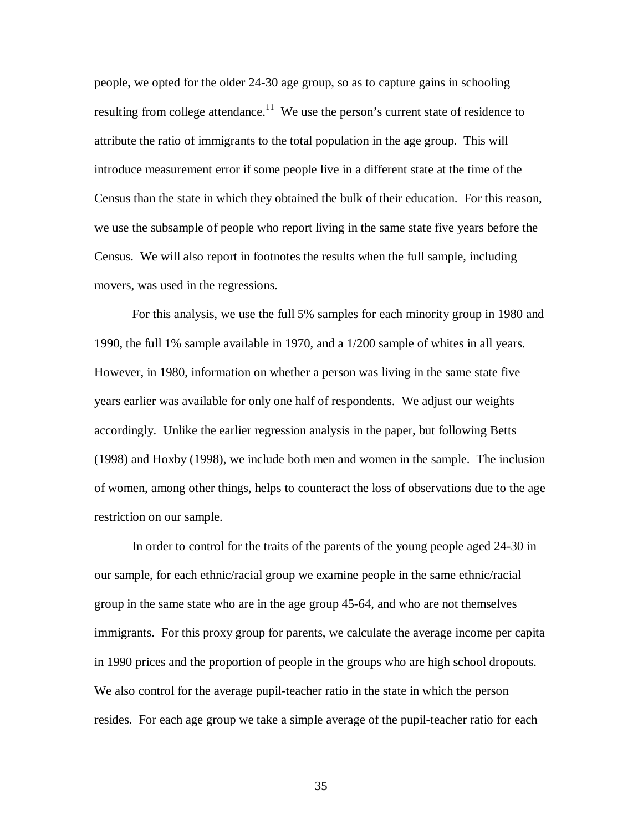people, we opted for the older 24-30 age group, so as to capture gains in schooling resulting from college attendance.<sup>11</sup> We use the person's current state of residence to attribute the ratio of immigrants to the total population in the age group. This will introduce measurement error if some people live in a different state at the time of the Census than the state in which they obtained the bulk of their education. For this reason, we use the subsample of people who report living in the same state five years before the Census. We will also report in footnotes the results when the full sample, including movers, was used in the regressions.

For this analysis, we use the full 5% samples for each minority group in 1980 and 1990, the full 1% sample available in 1970, and a 1/200 sample of whites in all years. However, in 1980, information on whether a person was living in the same state five years earlier was available for only one half of respondents. We adjust our weights accordingly. Unlike the earlier regression analysis in the paper, but following Betts (1998) and Hoxby (1998), we include both men and women in the sample. The inclusion of women, among other things, helps to counteract the loss of observations due to the age restriction on our sample.

In order to control for the traits of the parents of the young people aged 24-30 in our sample, for each ethnic/racial group we examine people in the same ethnic/racial group in the same state who are in the age group 45-64, and who are not themselves immigrants. For this proxy group for parents, we calculate the average income per capita in 1990 prices and the proportion of people in the groups who are high school dropouts. We also control for the average pupil-teacher ratio in the state in which the person resides. For each age group we take a simple average of the pupil-teacher ratio for each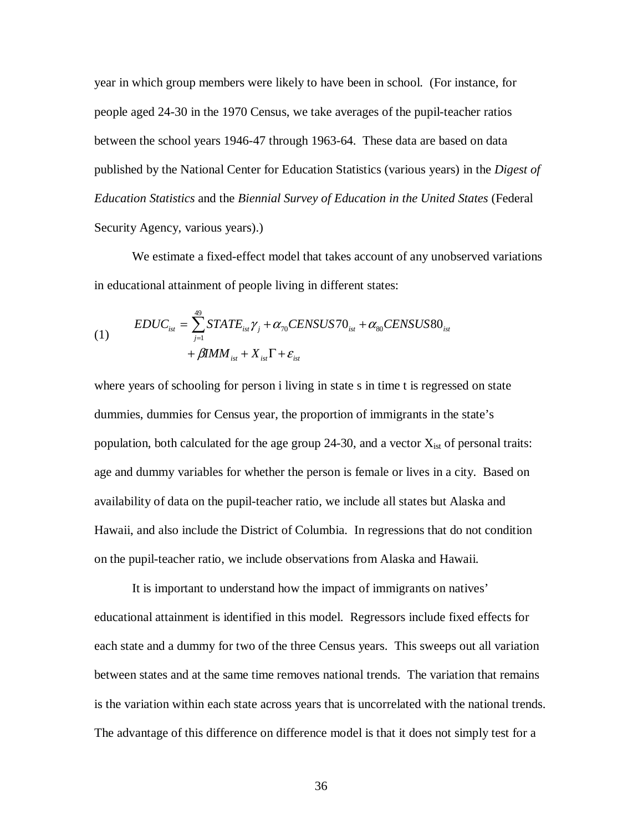year in which group members were likely to have been in school. (For instance, for people aged 24-30 in the 1970 Census, we take averages of the pupil-teacher ratios between the school years 1946-47 through 1963-64. These data are based on data published by the National Center for Education Statistics (various years) in the *Digest of Education Statistics* and the *Biennial Survey of Education in the United States* (Federal Security Agency, various years).)

We estimate a fixed-effect model that takes account of any unobserved variations in educational attainment of people living in different states:

$$
(1) \qquad \begin{aligned} EDUC_{ist} &= \sum_{j=1}^{49} STATE_{ist} \gamma_j + \alpha_{70} CENSUS70_{ist} + \alpha_{80} CENSUS80_{ist} \\ &+ \beta IMM_{ist} + X_{ist} \Gamma + \varepsilon_{ist} \end{aligned}
$$

where years of schooling for person i living in state s in time t is regressed on state dummies, dummies for Census year, the proportion of immigrants in the state's population, both calculated for the age group 24-30, and a vector  $X_{\text{ist}}$  of personal traits: age and dummy variables for whether the person is female or lives in a city. Based on availability of data on the pupil-teacher ratio, we include all states but Alaska and Hawaii, and also include the District of Columbia. In regressions that do not condition on the pupil-teacher ratio, we include observations from Alaska and Hawaii.

It is important to understand how the impact of immigrants on natives' educational attainment is identified in this model. Regressors include fixed effects for each state and a dummy for two of the three Census years. This sweeps out all variation between states and at the same time removes national trends. The variation that remains is the variation within each state across years that is uncorrelated with the national trends. The advantage of this difference on difference model is that it does not simply test for a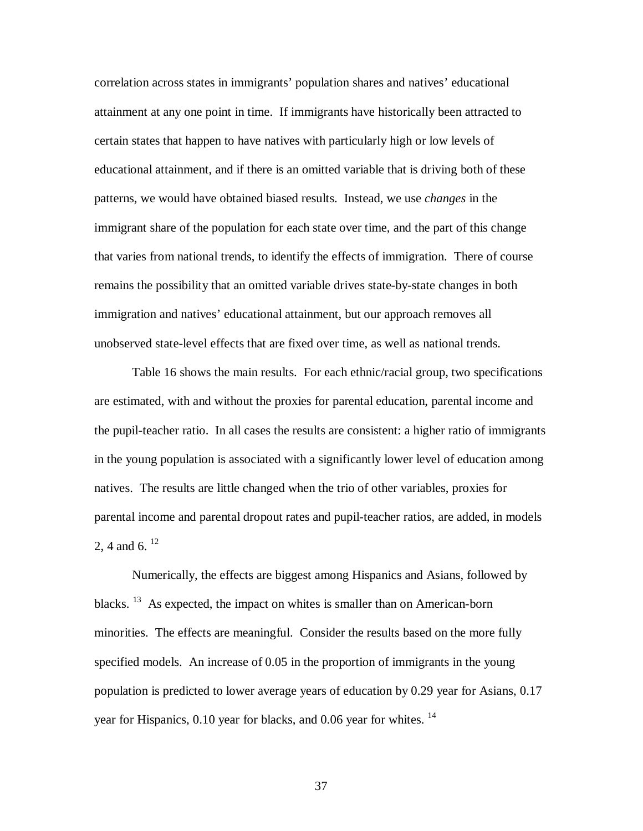correlation across states in immigrants' population shares and natives' educational attainment at any one point in time. If immigrants have historically been attracted to certain states that happen to have natives with particularly high or low levels of educational attainment, and if there is an omitted variable that is driving both of these patterns, we would have obtained biased results. Instead, we use *changes* in the immigrant share of the population for each state over time, and the part of this change that varies from national trends, to identify the effects of immigration. There of course remains the possibility that an omitted variable drives state-by-state changes in both immigration and natives' educational attainment, but our approach removes all unobserved state-level effects that are fixed over time, as well as national trends.

Table 16 shows the main results. For each ethnic/racial group, two specifications are estimated, with and without the proxies for parental education, parental income and the pupil-teacher ratio. In all cases the results are consistent: a higher ratio of immigrants in the young population is associated with a significantly lower level of education among natives. The results are little changed when the trio of other variables, proxies for parental income and parental dropout rates and pupil-teacher ratios, are added, in models 2, 4 and 6.  $^{12}$ 

Numerically, the effects are biggest among Hispanics and Asians, followed by blacks.<sup>13</sup> As expected, the impact on whites is smaller than on American-born minorities. The effects are meaningful. Consider the results based on the more fully specified models. An increase of 0.05 in the proportion of immigrants in the young population is predicted to lower average years of education by 0.29 year for Asians, 0.17 year for Hispanics,  $0.10$  year for blacks, and  $0.06$  year for whites. <sup>14</sup>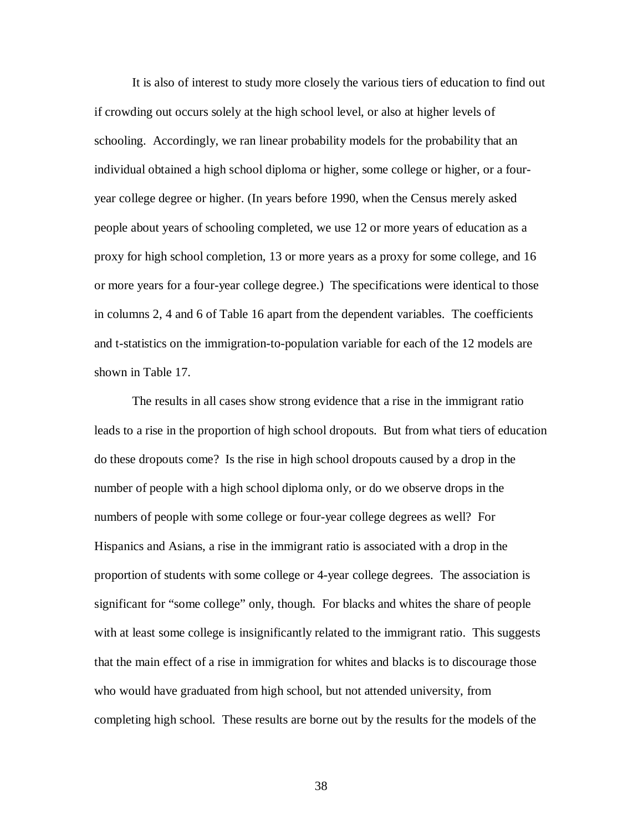It is also of interest to study more closely the various tiers of education to find out if crowding out occurs solely at the high school level, or also at higher levels of schooling. Accordingly, we ran linear probability models for the probability that an individual obtained a high school diploma or higher, some college or higher, or a fouryear college degree or higher. (In years before 1990, when the Census merely asked people about years of schooling completed, we use 12 or more years of education as a proxy for high school completion, 13 or more years as a proxy for some college, and 16 or more years for a four-year college degree.) The specifications were identical to those in columns 2, 4 and 6 of Table 16 apart from the dependent variables. The coefficients and t-statistics on the immigration-to-population variable for each of the 12 models are shown in Table 17.

The results in all cases show strong evidence that a rise in the immigrant ratio leads to a rise in the proportion of high school dropouts. But from what tiers of education do these dropouts come? Is the rise in high school dropouts caused by a drop in the number of people with a high school diploma only, or do we observe drops in the numbers of people with some college or four-year college degrees as well? For Hispanics and Asians, a rise in the immigrant ratio is associated with a drop in the proportion of students with some college or 4-year college degrees. The association is significant for "some college" only, though. For blacks and whites the share of people with at least some college is insignificantly related to the immigrant ratio. This suggests that the main effect of a rise in immigration for whites and blacks is to discourage those who would have graduated from high school, but not attended university, from completing high school. These results are borne out by the results for the models of the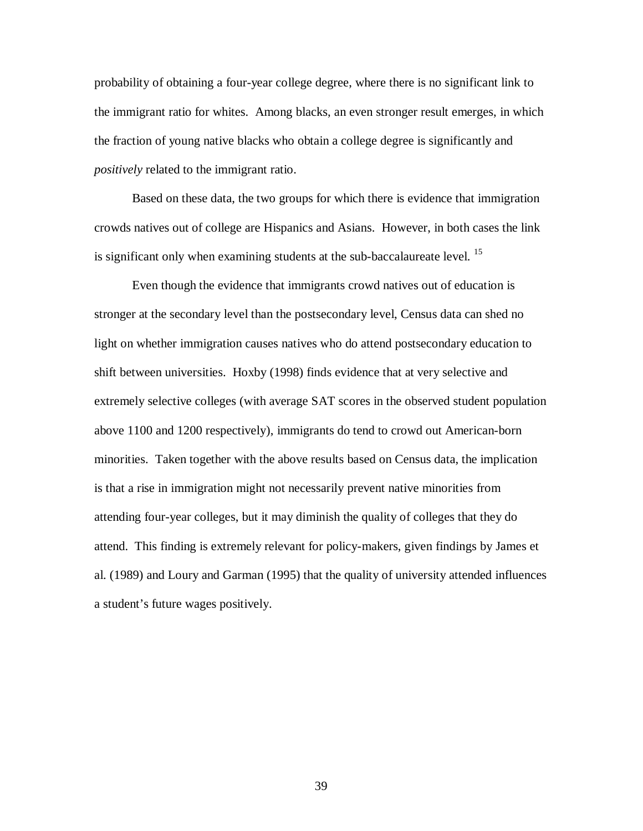probability of obtaining a four-year college degree, where there is no significant link to the immigrant ratio for whites. Among blacks, an even stronger result emerges, in which the fraction of young native blacks who obtain a college degree is significantly and *positively* related to the immigrant ratio.

Based on these data, the two groups for which there is evidence that immigration crowds natives out of college are Hispanics and Asians. However, in both cases the link is significant only when examining students at the sub-baccalaureate level.<sup>15</sup>

Even though the evidence that immigrants crowd natives out of education is stronger at the secondary level than the postsecondary level, Census data can shed no light on whether immigration causes natives who do attend postsecondary education to shift between universities. Hoxby (1998) finds evidence that at very selective and extremely selective colleges (with average SAT scores in the observed student population above 1100 and 1200 respectively), immigrants do tend to crowd out American-born minorities. Taken together with the above results based on Census data, the implication is that a rise in immigration might not necessarily prevent native minorities from attending four-year colleges, but it may diminish the quality of colleges that they do attend. This finding is extremely relevant for policy-makers, given findings by James et al. (1989) and Loury and Garman (1995) that the quality of university attended influences a student's future wages positively.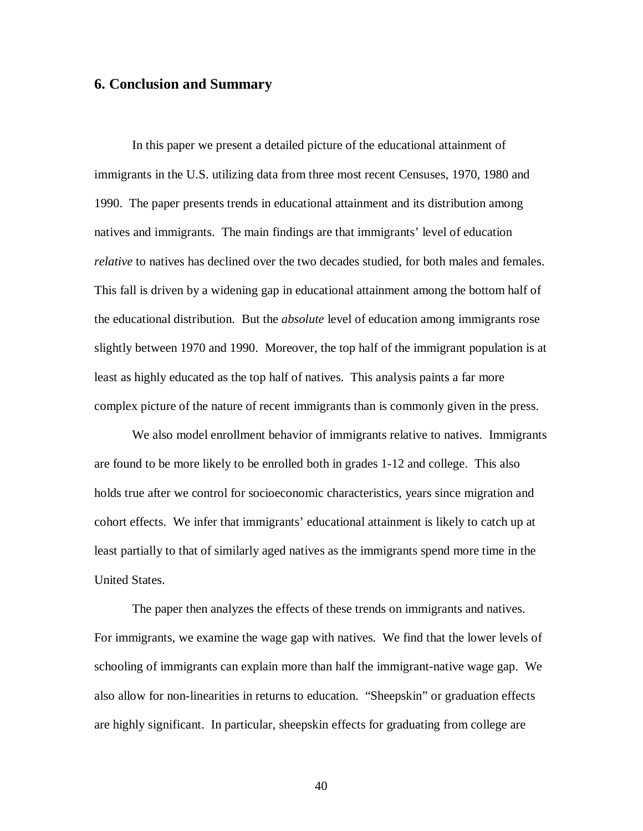### **6. Conclusion and Summary**

In this paper we present a detailed picture of the educational attainment of immigrants in the U.S. utilizing data from three most recent Censuses, 1970, 1980 and 1990. The paper presents trends in educational attainment and its distribution among natives and immigrants. The main findings are that immigrants' level of education *relative* to natives has declined over the two decades studied, for both males and females. This fall is driven by a widening gap in educational attainment among the bottom half of the educational distribution. But the *absolute* level of education among immigrants rose slightly between 1970 and 1990. Moreover, the top half of the immigrant population is at least as highly educated as the top half of natives. This analysis paints a far more complex picture of the nature of recent immigrants than is commonly given in the press.

We also model enrollment behavior of immigrants relative to natives. Immigrants are found to be more likely to be enrolled both in grades 1-12 and college. This also holds true after we control for socioeconomic characteristics, years since migration and cohort effects. We infer that immigrants' educational attainment is likely to catch up at least partially to that of similarly aged natives as the immigrants spend more time in the United States.

The paper then analyzes the effects of these trends on immigrants and natives. For immigrants, we examine the wage gap with natives. We find that the lower levels of schooling of immigrants can explain more than half the immigrant-native wage gap. We also allow for non-linearities in returns to education. "Sheepskin" or graduation effects are highly significant. In particular, sheepskin effects for graduating from college are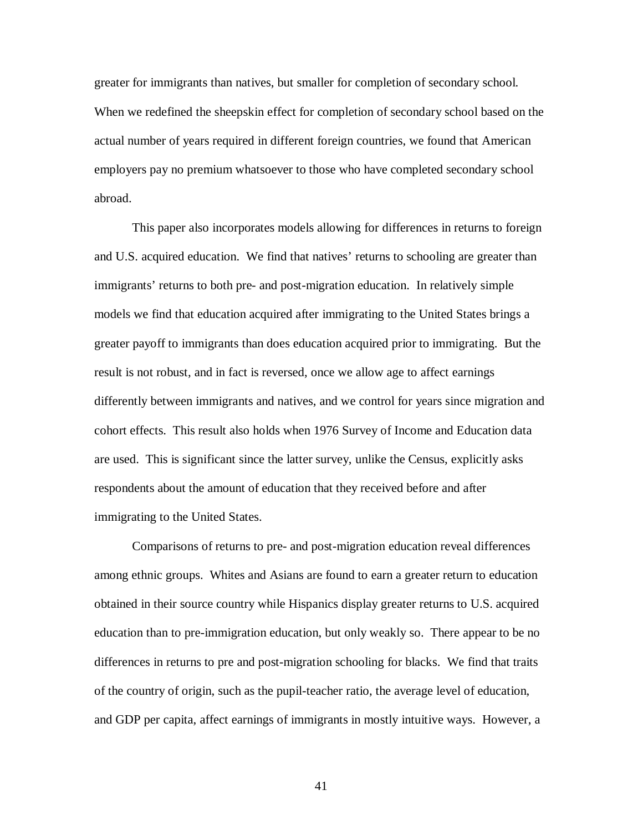greater for immigrants than natives, but smaller for completion of secondary school. When we redefined the sheepskin effect for completion of secondary school based on the actual number of years required in different foreign countries, we found that American employers pay no premium whatsoever to those who have completed secondary school abroad.

This paper also incorporates models allowing for differences in returns to foreign and U.S. acquired education. We find that natives' returns to schooling are greater than immigrants' returns to both pre- and post-migration education. In relatively simple models we find that education acquired after immigrating to the United States brings a greater payoff to immigrants than does education acquired prior to immigrating. But the result is not robust, and in fact is reversed, once we allow age to affect earnings differently between immigrants and natives, and we control for years since migration and cohort effects. This result also holds when 1976 Survey of Income and Education data are used. This is significant since the latter survey, unlike the Census, explicitly asks respondents about the amount of education that they received before and after immigrating to the United States.

Comparisons of returns to pre- and post-migration education reveal differences among ethnic groups. Whites and Asians are found to earn a greater return to education obtained in their source country while Hispanics display greater returns to U.S. acquired education than to pre-immigration education, but only weakly so. There appear to be no differences in returns to pre and post-migration schooling for blacks. We find that traits of the country of origin, such as the pupil-teacher ratio, the average level of education, and GDP per capita, affect earnings of immigrants in mostly intuitive ways. However, a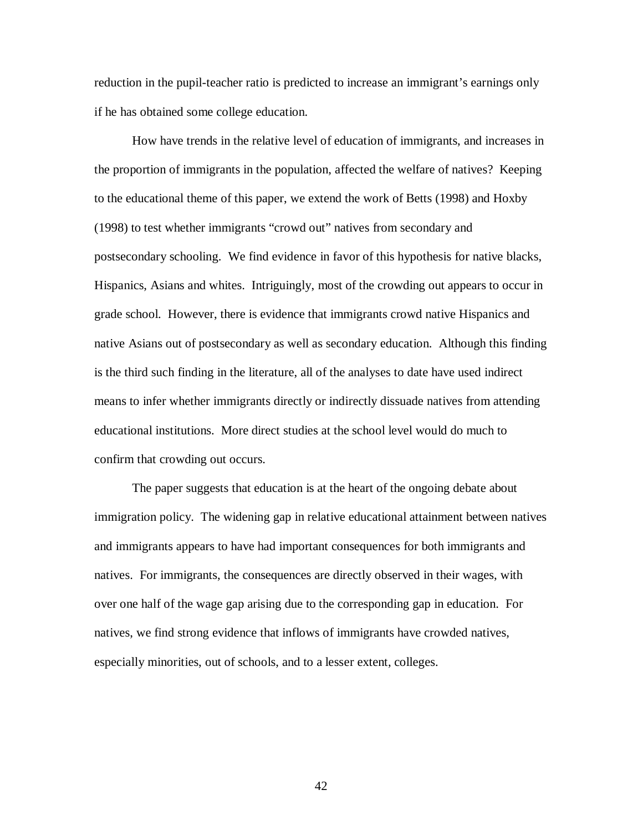reduction in the pupil-teacher ratio is predicted to increase an immigrant's earnings only if he has obtained some college education.

How have trends in the relative level of education of immigrants, and increases in the proportion of immigrants in the population, affected the welfare of natives? Keeping to the educational theme of this paper, we extend the work of Betts (1998) and Hoxby (1998) to test whether immigrants "crowd out" natives from secondary and postsecondary schooling. We find evidence in favor of this hypothesis for native blacks, Hispanics, Asians and whites. Intriguingly, most of the crowding out appears to occur in grade school. However, there is evidence that immigrants crowd native Hispanics and native Asians out of postsecondary as well as secondary education. Although this finding is the third such finding in the literature, all of the analyses to date have used indirect means to infer whether immigrants directly or indirectly dissuade natives from attending educational institutions. More direct studies at the school level would do much to confirm that crowding out occurs.

The paper suggests that education is at the heart of the ongoing debate about immigration policy. The widening gap in relative educational attainment between natives and immigrants appears to have had important consequences for both immigrants and natives. For immigrants, the consequences are directly observed in their wages, with over one half of the wage gap arising due to the corresponding gap in education. For natives, we find strong evidence that inflows of immigrants have crowded natives, especially minorities, out of schools, and to a lesser extent, colleges.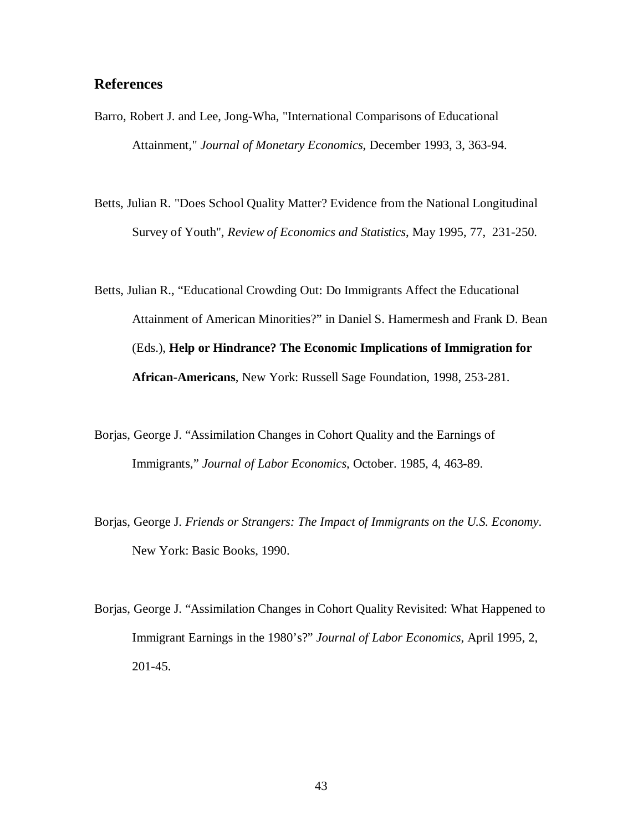## **References**

- Barro, Robert J. and Lee, Jong-Wha, "International Comparisons of Educational Attainment," *Journal of Monetary Economics*, December 1993, 3, 363-94.
- Betts, Julian R. "Does School Quality Matter? Evidence from the National Longitudinal Survey of Youth", *Review of Economics and Statistics*, May 1995, 77, 231-250.
- Betts, Julian R., "Educational Crowding Out: Do Immigrants Affect the Educational Attainment of American Minorities?" in Daniel S. Hamermesh and Frank D. Bean (Eds.), **Help or Hindrance? The Economic Implications of Immigration for African-Americans**, New York: Russell Sage Foundation, 1998, 253-281.
- Borjas, George J. "Assimilation Changes in Cohort Quality and the Earnings of Immigrants," *Journal of Labor Economics*, October. 1985, 4, 463-89.
- Borjas, George J. *Friends or Strangers: The Impact of Immigrants on the U.S. Economy*. New York: Basic Books, 1990.
- Borjas, George J. "Assimilation Changes in Cohort Quality Revisited: What Happened to Immigrant Earnings in the 1980's?" *Journal of Labor Economics*, April 1995, 2, 201-45.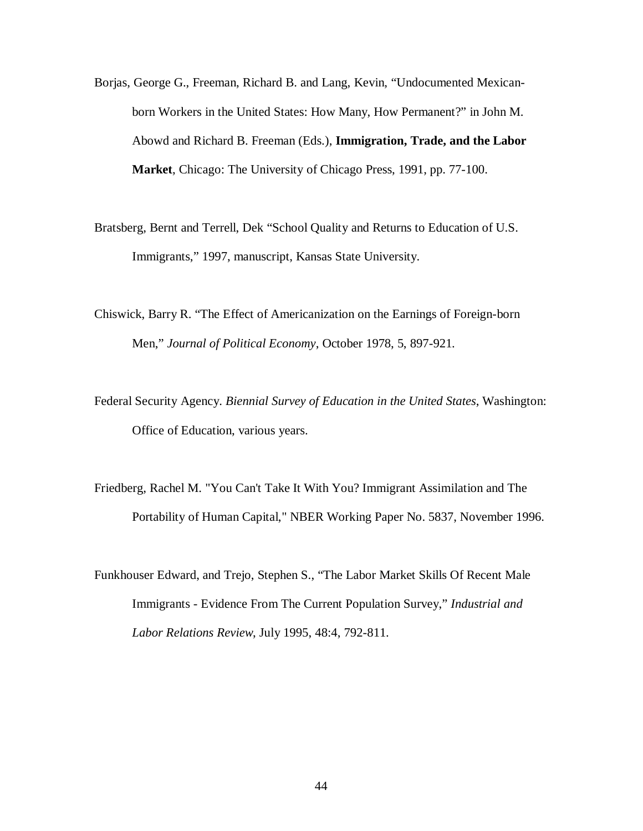- Borjas, George G., Freeman, Richard B. and Lang, Kevin, "Undocumented Mexicanborn Workers in the United States: How Many, How Permanent?" in John M. Abowd and Richard B. Freeman (Eds.), **Immigration, Trade, and the Labor Market**, Chicago: The University of Chicago Press, 1991, pp. 77-100.
- Bratsberg, Bernt and Terrell, Dek "School Quality and Returns to Education of U.S. Immigrants," 1997, manuscript, Kansas State University.
- Chiswick, Barry R. "The Effect of Americanization on the Earnings of Foreign-born Men," *Journal of Political Economy*, October 1978, 5, 897-921.
- Federal Security Agency. *Biennial Survey of Education in the United States*, Washington: Office of Education, various years.
- Friedberg, Rachel M. "You Can't Take It With You? Immigrant Assimilation and The Portability of Human Capital," NBER Working Paper No. 5837, November 1996.
- Funkhouser Edward, and Trejo, Stephen S., "The Labor Market Skills Of Recent Male Immigrants - Evidence From The Current Population Survey," *Industrial and Labor Relations Review*, July 1995, 48:4, 792-811.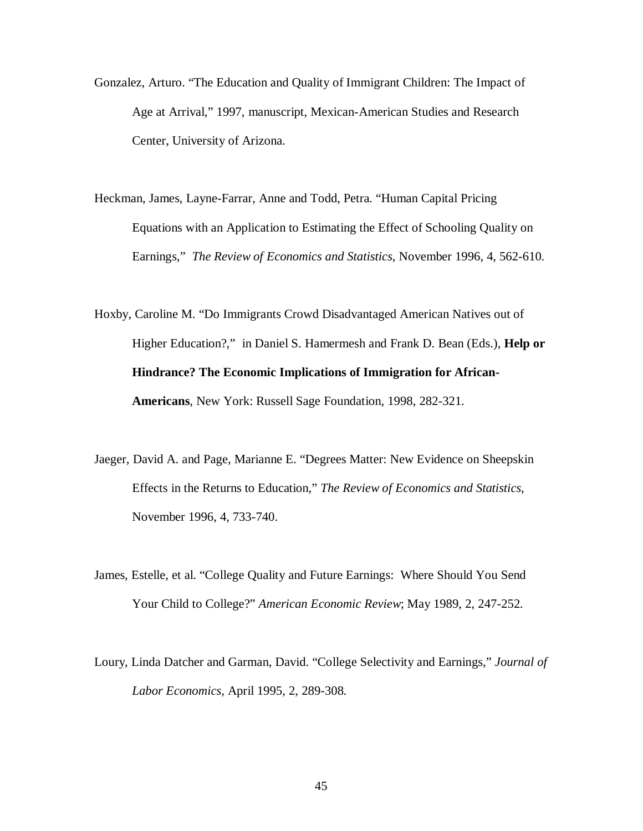- Gonzalez, Arturo. "The Education and Quality of Immigrant Children: The Impact of Age at Arrival," 1997, manuscript, Mexican-American Studies and Research Center, University of Arizona.
- Heckman, James, Layne-Farrar, Anne and Todd, Petra. "Human Capital Pricing Equations with an Application to Estimating the Effect of Schooling Quality on Earnings," *The Review of Economics and Statistics*, November 1996, 4, 562-610.
- Hoxby, Caroline M. "Do Immigrants Crowd Disadvantaged American Natives out of Higher Education?," in Daniel S. Hamermesh and Frank D. Bean (Eds.), **Help or Hindrance? The Economic Implications of Immigration for African-Americans**, New York: Russell Sage Foundation, 1998, 282-321.
- Jaeger, David A. and Page, Marianne E. "Degrees Matter: New Evidence on Sheepskin Effects in the Returns to Education," *The Review of Economics and Statistics*, November 1996, 4, 733-740.
- James, Estelle, et al. "College Quality and Future Earnings: Where Should You Send Your Child to College?" *American Economic Review*; May 1989, 2, 247-252.
- Loury, Linda Datcher and Garman, David. "College Selectivity and Earnings," *Journal of Labor Economics*, April 1995, 2, 289-308.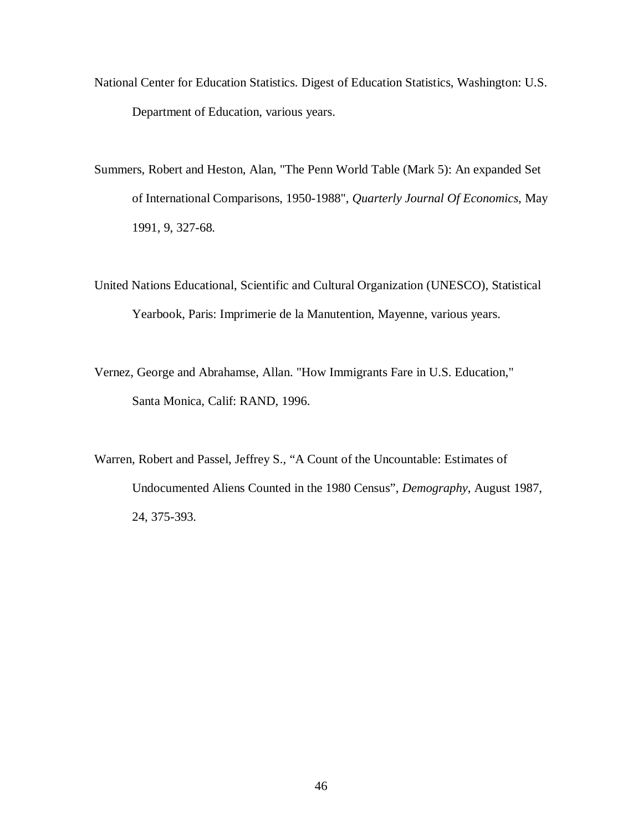- National Center for Education Statistics. Digest of Education Statistics, Washington: U.S. Department of Education, various years.
- Summers, Robert and Heston, Alan, "The Penn World Table (Mark 5): An expanded Set of International Comparisons, 1950-1988", *Quarterly Journal Of Economics*, May 1991, 9, 327-68.
- United Nations Educational, Scientific and Cultural Organization (UNESCO), Statistical Yearbook, Paris: Imprimerie de la Manutention, Mayenne, various years.
- Vernez, George and Abrahamse, Allan. "How Immigrants Fare in U.S. Education," Santa Monica, Calif: RAND, 1996.
- Warren, Robert and Passel, Jeffrey S., "A Count of the Uncountable: Estimates of Undocumented Aliens Counted in the 1980 Census", *Demography*, August 1987, 24, 375-393.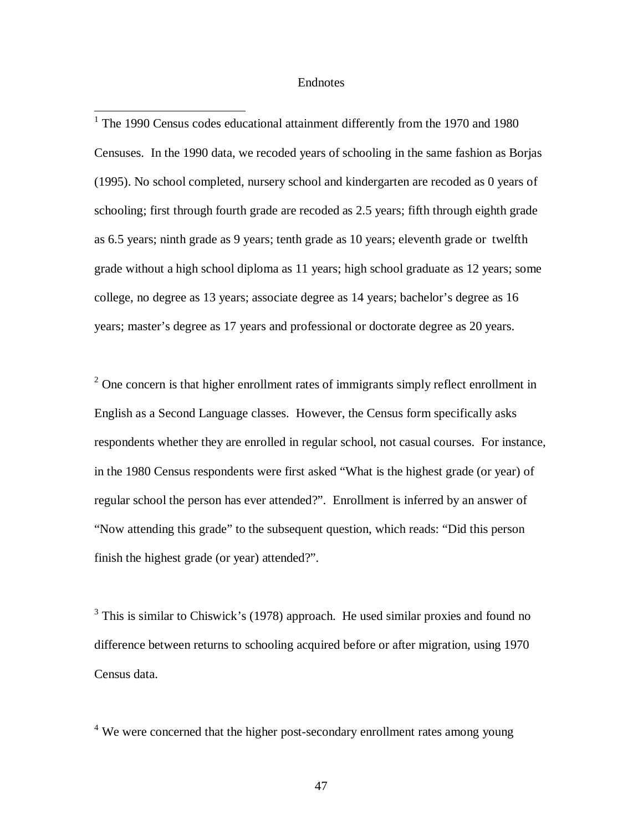#### Endnotes

<sup>1</sup> The 1990 Census codes educational attainment differently from the 1970 and 1980 Censuses. In the 1990 data, we recoded years of schooling in the same fashion as Borjas (1995). No school completed, nursery school and kindergarten are recoded as 0 years of schooling; first through fourth grade are recoded as 2.5 years; fifth through eighth grade as 6.5 years; ninth grade as 9 years; tenth grade as 10 years; eleventh grade or twelfth grade without a high school diploma as 11 years; high school graduate as 12 years; some college, no degree as 13 years; associate degree as 14 years; bachelor's degree as 16 years; master's degree as 17 years and professional or doctorate degree as 20 years.

 $2$  One concern is that higher enrollment rates of immigrants simply reflect enrollment in English as a Second Language classes. However, the Census form specifically asks respondents whether they are enrolled in regular school, not casual courses. For instance, in the 1980 Census respondents were first asked "What is the highest grade (or year) of regular school the person has ever attended?". Enrollment is inferred by an answer of "Now attending this grade" to the subsequent question, which reads: "Did this person finish the highest grade (or year) attended?".

<sup>3</sup> This is similar to Chiswick's (1978) approach. He used similar proxies and found no difference between returns to schooling acquired before or after migration, using 1970 Census data.

<sup>4</sup> We were concerned that the higher post-secondary enrollment rates among young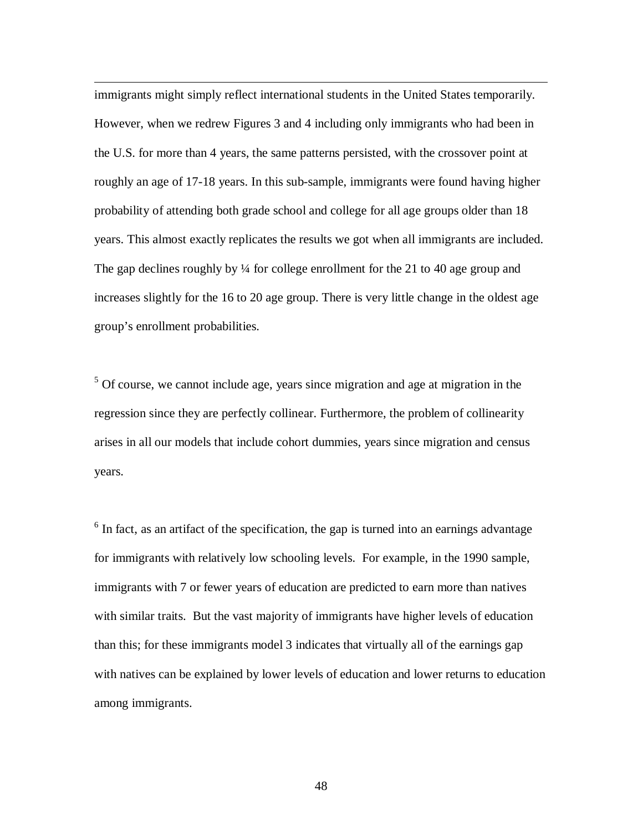immigrants might simply reflect international students in the United States temporarily. However, when we redrew Figures 3 and 4 including only immigrants who had been in the U.S. for more than 4 years, the same patterns persisted, with the crossover point at roughly an age of 17-18 years. In this sub-sample, immigrants were found having higher probability of attending both grade school and college for all age groups older than 18 years. This almost exactly replicates the results we got when all immigrants are included. The gap declines roughly by ¼ for college enrollment for the 21 to 40 age group and increases slightly for the 16 to 20 age group. There is very little change in the oldest age group's enrollment probabilities.

<sup>5</sup> Of course, we cannot include age, years since migration and age at migration in the regression since they are perfectly collinear. Furthermore, the problem of collinearity arises in all our models that include cohort dummies, years since migration and census years.

 $6$  In fact, as an artifact of the specification, the gap is turned into an earnings advantage for immigrants with relatively low schooling levels. For example, in the 1990 sample, immigrants with 7 or fewer years of education are predicted to earn more than natives with similar traits. But the vast majority of immigrants have higher levels of education than this; for these immigrants model 3 indicates that virtually all of the earnings gap with natives can be explained by lower levels of education and lower returns to education among immigrants.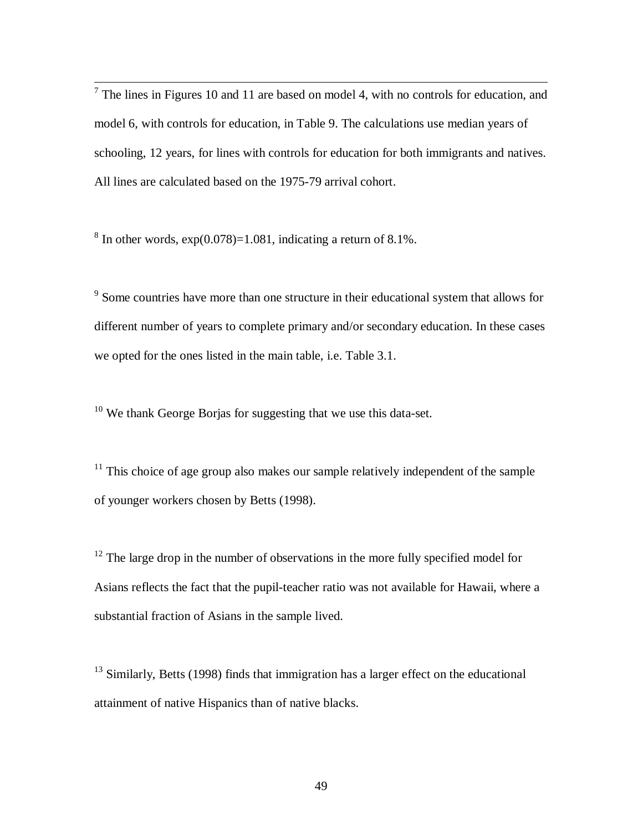$<sup>7</sup>$  The lines in Figures 10 and 11 are based on model 4, with no controls for education, and</sup> model 6, with controls for education, in Table 9. The calculations use median years of schooling, 12 years, for lines with controls for education for both immigrants and natives. All lines are calculated based on the 1975-79 arrival cohort.

 $8 \text{ In other words, } \exp(0.078) = 1.081$ , indicating a return of 8.1%.

<sup>9</sup> Some countries have more than one structure in their educational system that allows for different number of years to complete primary and/or secondary education. In these cases we opted for the ones listed in the main table, i.e. Table 3.1.

 $10$  We thank George Borjas for suggesting that we use this data-set.

 $11$  This choice of age group also makes our sample relatively independent of the sample of younger workers chosen by Betts (1998).

 $12$  The large drop in the number of observations in the more fully specified model for Asians reflects the fact that the pupil-teacher ratio was not available for Hawaii, where a substantial fraction of Asians in the sample lived.

<sup>13</sup> Similarly, Betts (1998) finds that immigration has a larger effect on the educational attainment of native Hispanics than of native blacks.